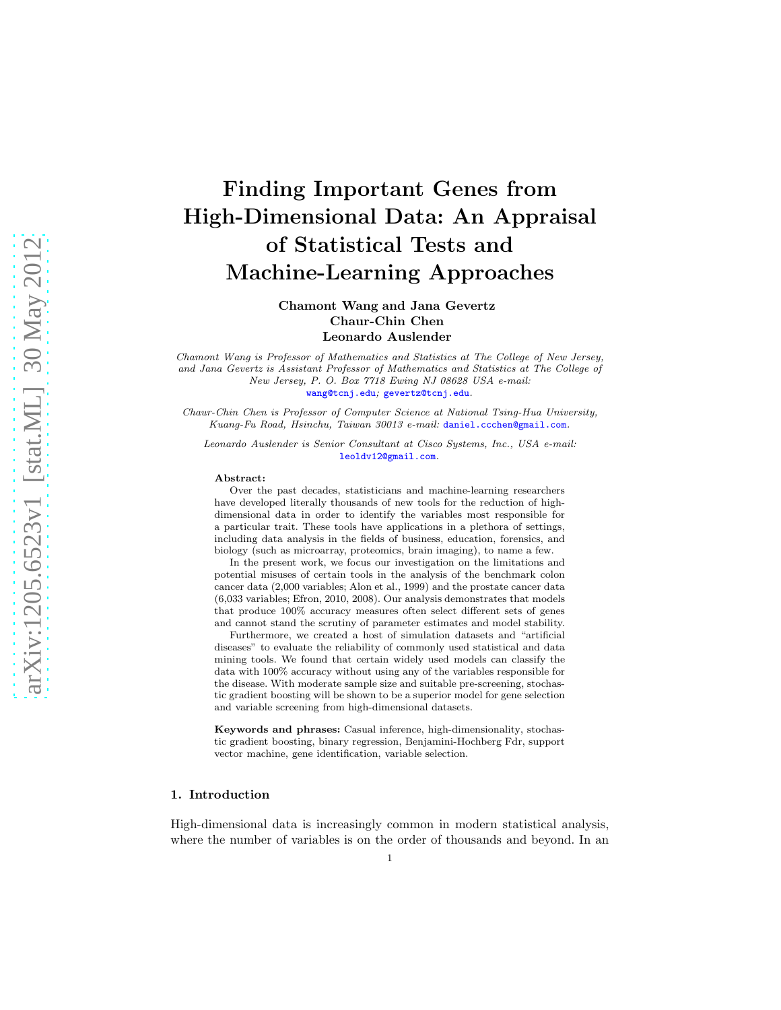# Finding Important Genes from High-Dimensional Data: An Appraisal of Statistical Tests and Machine-Learning Approaches

Chamont Wang and Jana Gevertz Chaur-Chin Chen Leonardo Auslender

Chamont Wang is Professor of Mathematics and Statistics at The College of New Jersey, and Jana Gevertz is Assistant Professor of Mathematics and Statistics at The College of New Jersey, P. O. Box 7718 Ewing NJ 08628 USA e-mail: [wang@tcnj.edu](mailto:wang@tcnj.edu); [gevertz@tcnj.edu](mailto:gevertz@tcnj.edu).

Chaur-Chin Chen is Professor of Computer Science at National Tsing-Hua University, Kuang-Fu Road, Hsinchu, Taiwan 30013 e-mail: [daniel.ccchen@gmail.com](mailto:daniel.ccchen@gmail.com).

Leonardo Auslender is Senior Consultant at Cisco Systems, Inc., USA e-mail: [leoldv12@gmail.com](mailto:leoldv12@gmail.com).

#### Abstract:

Over the past decades, statisticians and machine-learning researchers have developed literally thousands of new tools for the reduction of highdimensional data in order to identify the variables most responsible for a particular trait. These tools have applications in a plethora of settings, including data analysis in the fields of business, education, forensics, and biology (such as microarray, proteomics, brain imaging), to name a few.

In the present work, we focus our investigation on the limitations and potential misuses of certain tools in the analysis of the benchmark colon cancer data (2,000 variables; Alon et al., 1999) and the prostate cancer data (6,033 variables; Efron, 2010, 2008). Our analysis demonstrates that models that produce 100% accuracy measures often select different sets of genes and cannot stand the scrutiny of parameter estimates and model stability.

Furthermore, we created a host of simulation datasets and "artificial diseases" to evaluate the reliability of commonly used statistical and data mining tools. We found that certain widely used models can classify the data with 100% accuracy without using any of the variables responsible for the disease. With moderate sample size and suitable pre-screening, stochastic gradient boosting will be shown to be a superior model for gene selection and variable screening from high-dimensional datasets.

Keywords and phrases: Casual inference, high-dimensionality, stochastic gradient boosting, binary regression, Benjamini-Hochberg Fdr, support vector machine, gene identification, variable selection.

#### 1. Introduction

High-dimensional data is increasingly common in modern statistical analysis, where the number of variables is on the order of thousands and beyond. In an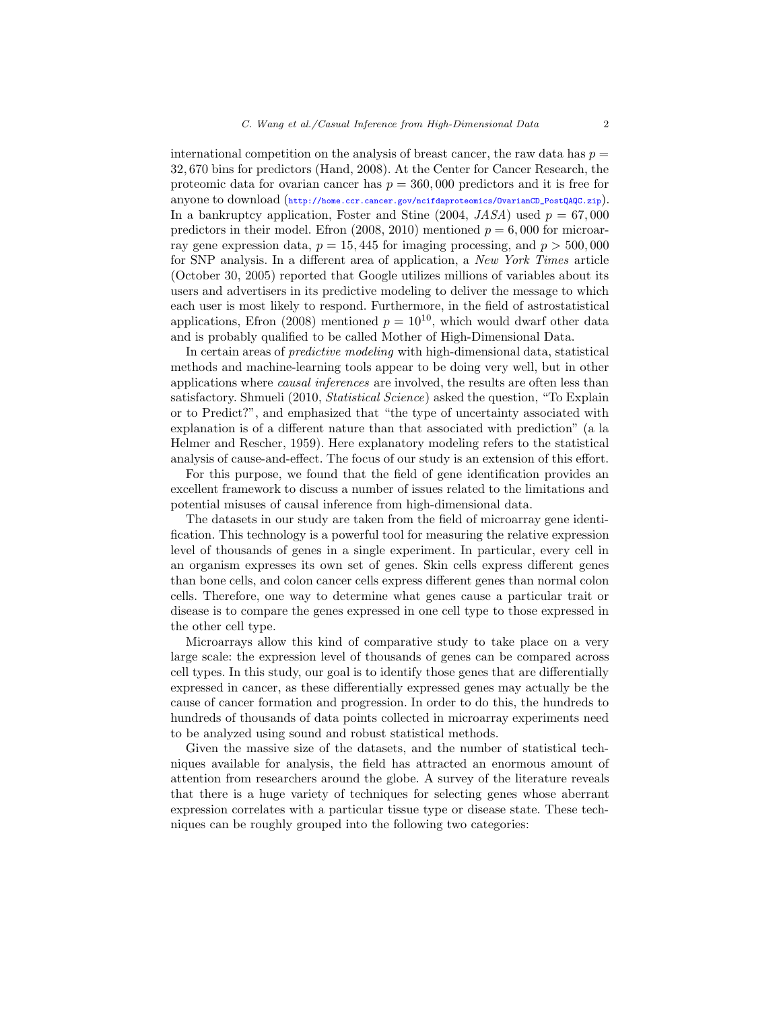international competition on the analysis of breast cancer, the raw data has  $p =$ 32, 670 bins for predictors (Hand, 2008). At the Center for Cancer Research, the proteomic data for ovarian cancer has  $p = 360,000$  predictors and it is free for anyone to download ([http://home.ccr.cancer.gov/ncifdaproteomics/OvarianCD\\_PostQAQC.zip](http://home.ccr.cancer.gov/ncifdaproteomics/OvarianCD_PostQAQC.zip)). In a bankruptcy application, Foster and Stine  $(2004, JASA)$  used  $p = 67,000$ predictors in their model. Efron (2008, 2010) mentioned  $p = 6,000$  for microarray gene expression data,  $p = 15,445$  for imaging processing, and  $p > 500,000$ for SNP analysis. In a different area of application, a *New York Times* article (October 30, 2005) reported that Google utilizes millions of variables about its users and advertisers in its predictive modeling to deliver the message to which each user is most likely to respond. Furthermore, in the field of astrostatistical applications, Efron (2008) mentioned  $p = 10^{10}$ , which would dwarf other data and is probably qualified to be called Mother of High-Dimensional Data.

In certain areas of *predictive modeling* with high-dimensional data, statistical methods and machine-learning tools appear to be doing very well, but in other applications where *causal inferences* are involved, the results are often less than satisfactory. Shmueli (2010, *Statistical Science*) asked the question, "To Explain or to Predict?", and emphasized that "the type of uncertainty associated with explanation is of a different nature than that associated with prediction" (a la Helmer and Rescher, 1959). Here explanatory modeling refers to the statistical analysis of cause-and-effect. The focus of our study is an extension of this effort.

For this purpose, we found that the field of gene identification provides an excellent framework to discuss a number of issues related to the limitations and potential misuses of causal inference from high-dimensional data.

The datasets in our study are taken from the field of microarray gene identification. This technology is a powerful tool for measuring the relative expression level of thousands of genes in a single experiment. In particular, every cell in an organism expresses its own set of genes. Skin cells express different genes than bone cells, and colon cancer cells express different genes than normal colon cells. Therefore, one way to determine what genes cause a particular trait or disease is to compare the genes expressed in one cell type to those expressed in the other cell type.

Microarrays allow this kind of comparative study to take place on a very large scale: the expression level of thousands of genes can be compared across cell types. In this study, our goal is to identify those genes that are differentially expressed in cancer, as these differentially expressed genes may actually be the cause of cancer formation and progression. In order to do this, the hundreds to hundreds of thousands of data points collected in microarray experiments need to be analyzed using sound and robust statistical methods.

Given the massive size of the datasets, and the number of statistical techniques available for analysis, the field has attracted an enormous amount of attention from researchers around the globe. A survey of the literature reveals that there is a huge variety of techniques for selecting genes whose aberrant expression correlates with a particular tissue type or disease state. These techniques can be roughly grouped into the following two categories: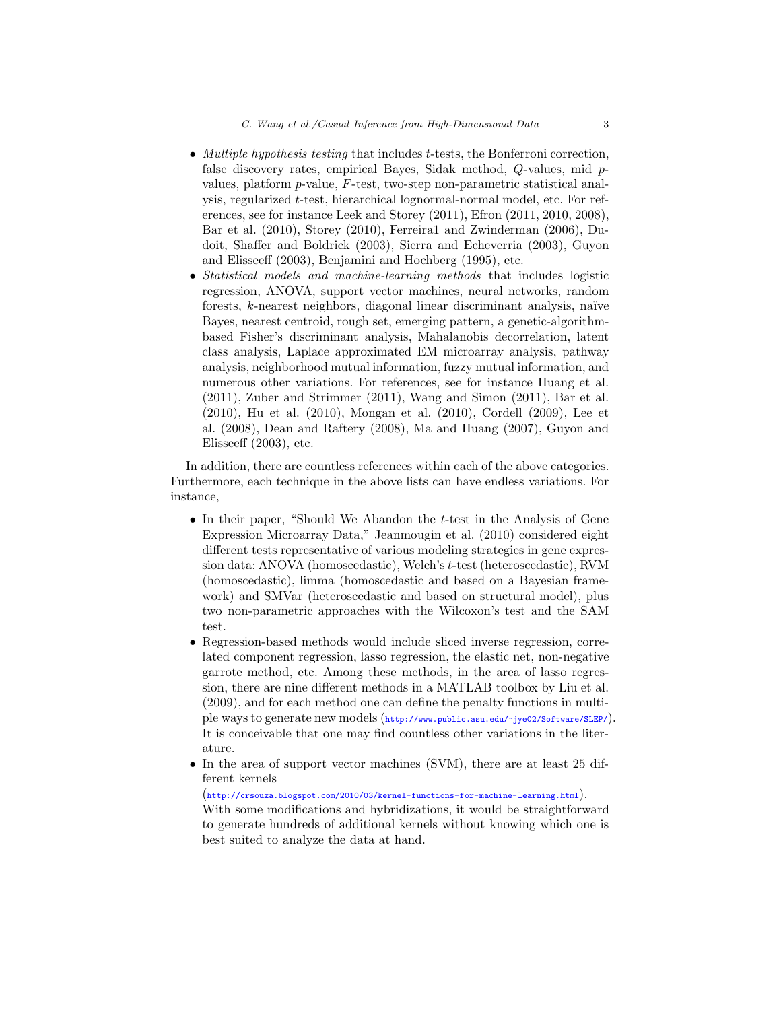- *Multiple hypothesis testing* that includes t-tests, the Bonferroni correction, false discovery rates, empirical Bayes, Sidak method, Q-values, mid pvalues, platform p-value, F-test, two-step non-parametric statistical analysis, regularized t-test, hierarchical lognormal-normal model, etc. For references, see for instance Leek and Storey (2011), Efron (2011, 2010, 2008), Bar et al. (2010), Storey (2010), Ferreira1 and Zwinderman (2006), Dudoit, Shaffer and Boldrick (2003), Sierra and Echeverria (2003), Guyon and Elisseeff (2003), Benjamini and Hochberg (1995), etc.
- *Statistical models and machine-learning methods* that includes logistic regression, ANOVA, support vector machines, neural networks, random forests,  $k$ -nearest neighbors, diagonal linear discriminant analysis, naïve Bayes, nearest centroid, rough set, emerging pattern, a genetic-algorithmbased Fisher's discriminant analysis, Mahalanobis decorrelation, latent class analysis, Laplace approximated EM microarray analysis, pathway analysis, neighborhood mutual information, fuzzy mutual information, and numerous other variations. For references, see for instance Huang et al. (2011), Zuber and Strimmer (2011), Wang and Simon (2011), Bar et al. (2010), Hu et al. (2010), Mongan et al. (2010), Cordell (2009), Lee et al. (2008), Dean and Raftery (2008), Ma and Huang (2007), Guyon and Elisseeff (2003), etc.

In addition, there are countless references within each of the above categories. Furthermore, each technique in the above lists can have endless variations. For instance,

- In their paper, "Should We Abandon the  $t$ -test in the Analysis of Gene Expression Microarray Data," Jeanmougin et al. (2010) considered eight different tests representative of various modeling strategies in gene expression data: ANOVA (homoscedastic), Welch's t-test (heteroscedastic), RVM (homoscedastic), limma (homoscedastic and based on a Bayesian framework) and SMVar (heteroscedastic and based on structural model), plus two non-parametric approaches with the Wilcoxon's test and the SAM test.
- Regression-based methods would include sliced inverse regression, correlated component regression, lasso regression, the elastic net, non-negative garrote method, etc. Among these methods, in the area of lasso regression, there are nine different methods in a MATLAB toolbox by Liu et al. (2009), and for each method one can define the penalty functions in multiple ways to generate new models (<http://www.public.asu.edu/~jye02/Software/SLEP/>). It is conceivable that one may find countless other variations in the literature.
- In the area of support vector machines (SVM), there are at least 25 different kernels

(<http://crsouza.blogspot.com/2010/03/kernel-functions-for-machine-learning.html>). With some modifications and hybridizations, it would be straightforward

to generate hundreds of additional kernels without knowing which one is best suited to analyze the data at hand.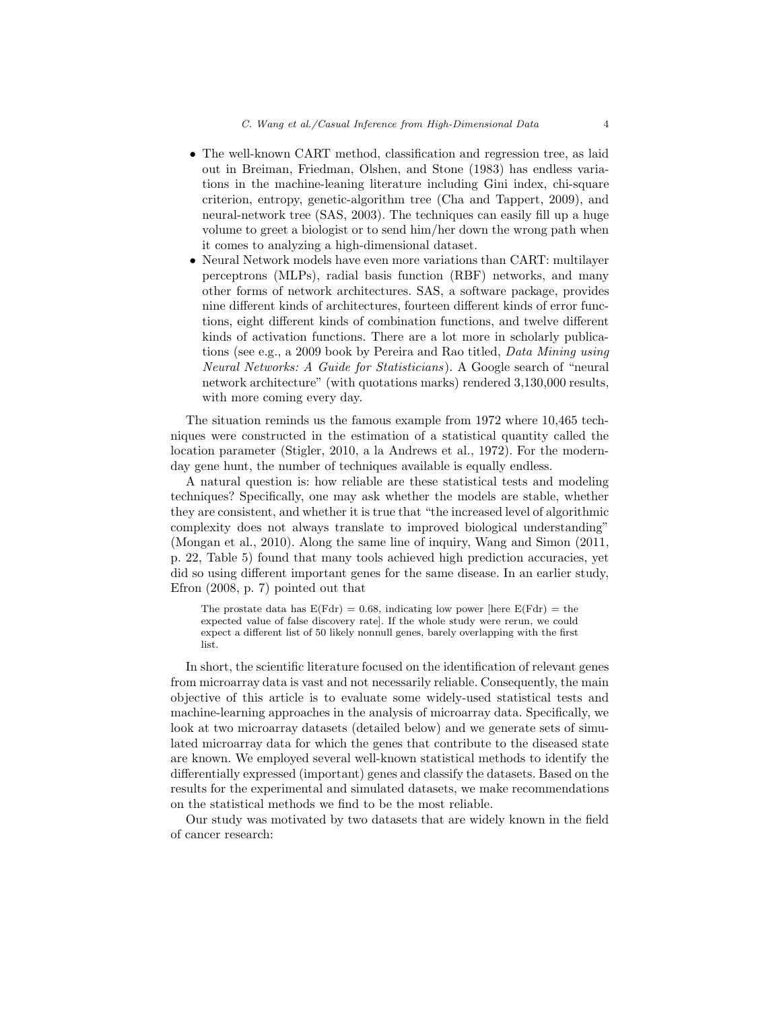- The well-known CART method, classification and regression tree, as laid out in Breiman, Friedman, Olshen, and Stone (1983) has endless variations in the machine-leaning literature including Gini index, chi-square criterion, entropy, genetic-algorithm tree (Cha and Tappert, 2009), and neural-network tree (SAS, 2003). The techniques can easily fill up a huge volume to greet a biologist or to send him/her down the wrong path when it comes to analyzing a high-dimensional dataset.
- Neural Network models have even more variations than CART: multilayer perceptrons (MLPs), radial basis function (RBF) networks, and many other forms of network architectures. SAS, a software package, provides nine different kinds of architectures, fourteen different kinds of error functions, eight different kinds of combination functions, and twelve different kinds of activation functions. There are a lot more in scholarly publications (see e.g., a 2009 book by Pereira and Rao titled, *Data Mining using Neural Networks: A Guide for Statisticians*). A Google search of "neural network architecture" (with quotations marks) rendered 3,130,000 results, with more coming every day.

The situation reminds us the famous example from 1972 where 10,465 techniques were constructed in the estimation of a statistical quantity called the location parameter (Stigler, 2010, a la Andrews et al., 1972). For the modernday gene hunt, the number of techniques available is equally endless.

A natural question is: how reliable are these statistical tests and modeling techniques? Specifically, one may ask whether the models are stable, whether they are consistent, and whether it is true that "the increased level of algorithmic complexity does not always translate to improved biological understanding" (Mongan et al., 2010). Along the same line of inquiry, Wang and Simon (2011, p. 22, Table 5) found that many tools achieved high prediction accuracies, yet did so using different important genes for the same disease. In an earlier study, Efron (2008, p. 7) pointed out that

The prostate data has  $E(Fdr) = 0.68$ , indicating low power [here  $E(Fdr) =$  the expected value of false discovery rate]. If the whole study were rerun, we could expect a different list of 50 likely nonnull genes, barely overlapping with the first list.

In short, the scientific literature focused on the identification of relevant genes from microarray data is vast and not necessarily reliable. Consequently, the main objective of this article is to evaluate some widely-used statistical tests and machine-learning approaches in the analysis of microarray data. Specifically, we look at two microarray datasets (detailed below) and we generate sets of simulated microarray data for which the genes that contribute to the diseased state are known. We employed several well-known statistical methods to identify the differentially expressed (important) genes and classify the datasets. Based on the results for the experimental and simulated datasets, we make recommendations on the statistical methods we find to be the most reliable.

Our study was motivated by two datasets that are widely known in the field of cancer research: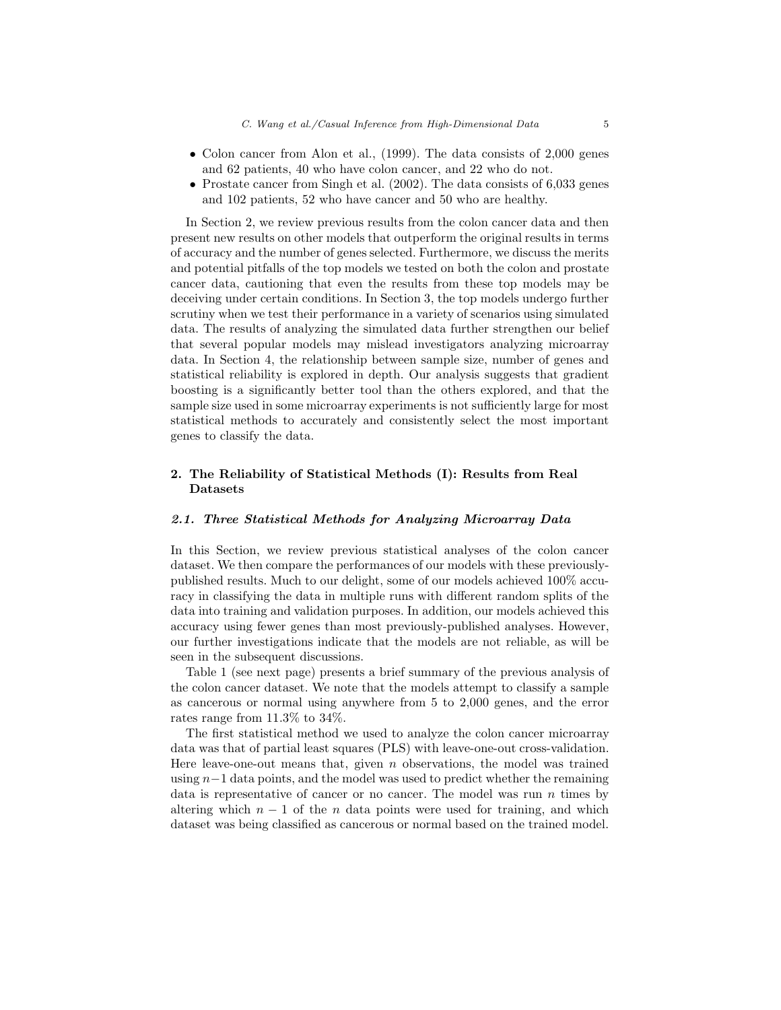- Colon cancer from Alon et al., (1999). The data consists of 2,000 genes and 62 patients, 40 who have colon cancer, and 22 who do not.
- Prostate cancer from Singh et al. (2002). The data consists of 6,033 genes and 102 patients, 52 who have cancer and 50 who are healthy.

In Section 2, we review previous results from the colon cancer data and then present new results on other models that outperform the original results in terms of accuracy and the number of genes selected. Furthermore, we discuss the merits and potential pitfalls of the top models we tested on both the colon and prostate cancer data, cautioning that even the results from these top models may be deceiving under certain conditions. In Section 3, the top models undergo further scrutiny when we test their performance in a variety of scenarios using simulated data. The results of analyzing the simulated data further strengthen our belief that several popular models may mislead investigators analyzing microarray data. In Section 4, the relationship between sample size, number of genes and statistical reliability is explored in depth. Our analysis suggests that gradient boosting is a significantly better tool than the others explored, and that the sample size used in some microarray experiments is not sufficiently large for most statistical methods to accurately and consistently select the most important genes to classify the data.

## 2. The Reliability of Statistical Methods (I): Results from Real Datasets

## *2.1. Three Statistical Methods for Analyzing Microarray Data*

In this Section, we review previous statistical analyses of the colon cancer dataset. We then compare the performances of our models with these previouslypublished results. Much to our delight, some of our models achieved 100% accuracy in classifying the data in multiple runs with different random splits of the data into training and validation purposes. In addition, our models achieved this accuracy using fewer genes than most previously-published analyses. However, our further investigations indicate that the models are not reliable, as will be seen in the subsequent discussions.

Table 1 (see next page) presents a brief summary of the previous analysis of the colon cancer dataset. We note that the models attempt to classify a sample as cancerous or normal using anywhere from 5 to 2,000 genes, and the error rates range from 11.3% to 34%.

The first statistical method we used to analyze the colon cancer microarray data was that of partial least squares (PLS) with leave-one-out cross-validation. Here leave-one-out means that, given  $n$  observations, the model was trained using n−1 data points, and the model was used to predict whether the remaining data is representative of cancer or no cancer. The model was run  $n$  times by altering which  $n-1$  of the n data points were used for training, and which dataset was being classified as cancerous or normal based on the trained model.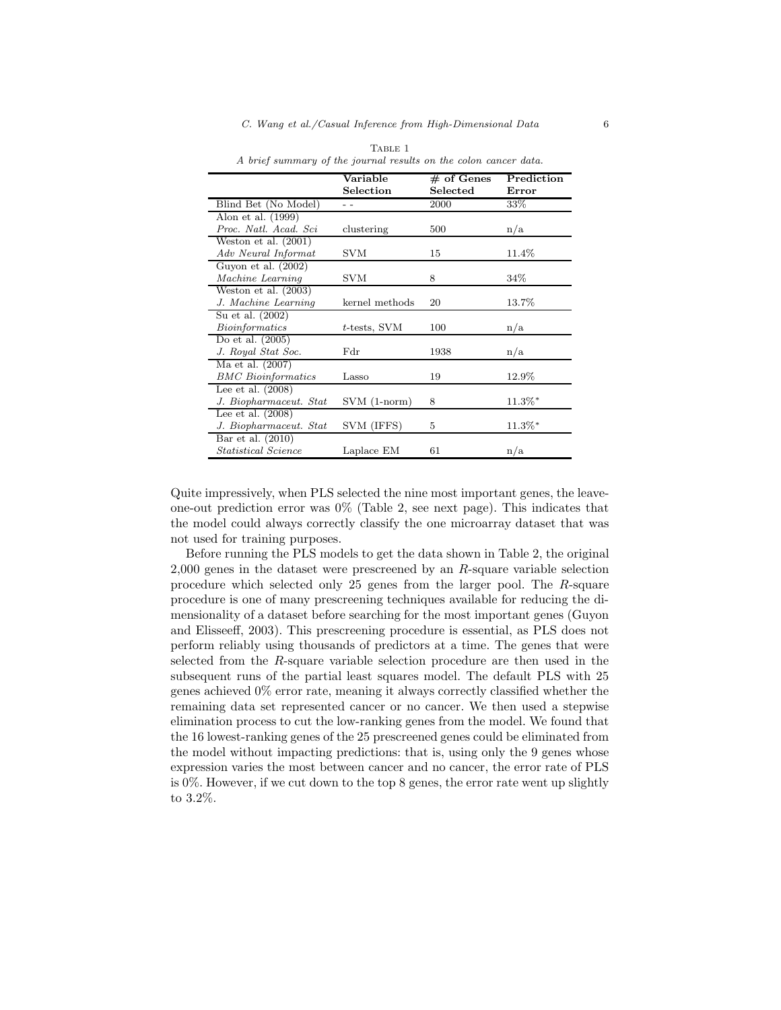|                                   | Variable        | $#$ of Genes | Prediction |
|-----------------------------------|-----------------|--------------|------------|
|                                   | Selection       | Selected     | Error      |
| Blind Bet (No Model)              |                 | 2000         | 33%        |
| Alon et al. (1999)                |                 |              |            |
| Proc. Natl. Acad. Sci             | clustering      | 500          | n/a        |
| Weston et al. $(2001)$            |                 |              |            |
| Adv Neural Informat               | SVM             | 15           | 11.4%      |
| Guyon et al. $(2002)$             |                 |              |            |
| Machine Learning                  | SVM             | 8            | 34%        |
| Weston et al. $(2003)$            |                 |              |            |
| J. Machine Learning               | kernel methods  | 20           | 13.7%      |
| Su et al. (2002)                  |                 |              |            |
| Bioinformatics                    | $t$ -tests, SVM | 100          | n/a        |
| Do et al. $(2005)$                |                 |              |            |
| J. Royal Stat Soc.                | Fdr             | 1938         | n/a        |
| Ma et al. (2007)                  |                 |              |            |
| <b>BMC</b> Bioinformatics         | Lasso           | 19           | 12.9%      |
| Lee et al. $(2008)$               |                 |              |            |
| J. Biopharmaceut. Stat            | $SVM(1-norm)$   | 8            | $11.3\%*$  |
| Lee et al. $(2008)$               |                 |              |            |
| J. Biopharmaceut. Stat            | SVM (IFFS)      | 5            | $11.3\%*$  |
| Bar et al. $(2010)$               |                 |              |            |
| <i><b>Statistical Science</b></i> | Laplace EM      | 61           | n/a        |

TABLE 1 A brief summary of the journal results on the colon cancer data.

Quite impressively, when PLS selected the nine most important genes, the leaveone-out prediction error was  $0\%$  (Table 2, see next page). This indicates that the model could always correctly classify the one microarray dataset that was not used for training purposes.

Before running the PLS models to get the data shown in Table 2, the original 2,000 genes in the dataset were prescreened by an R-square variable selection procedure which selected only 25 genes from the larger pool. The R-square procedure is one of many prescreening techniques available for reducing the dimensionality of a dataset before searching for the most important genes (Guyon and Elisseeff, 2003). This prescreening procedure is essential, as PLS does not perform reliably using thousands of predictors at a time. The genes that were selected from the R-square variable selection procedure are then used in the subsequent runs of the partial least squares model. The default PLS with 25 genes achieved 0% error rate, meaning it always correctly classified whether the remaining data set represented cancer or no cancer. We then used a stepwise elimination process to cut the low-ranking genes from the model. We found that the 16 lowest-ranking genes of the 25 prescreened genes could be eliminated from the model without impacting predictions: that is, using only the 9 genes whose expression varies the most between cancer and no cancer, the error rate of PLS is 0%. However, if we cut down to the top 8 genes, the error rate went up slightly to 3.2%.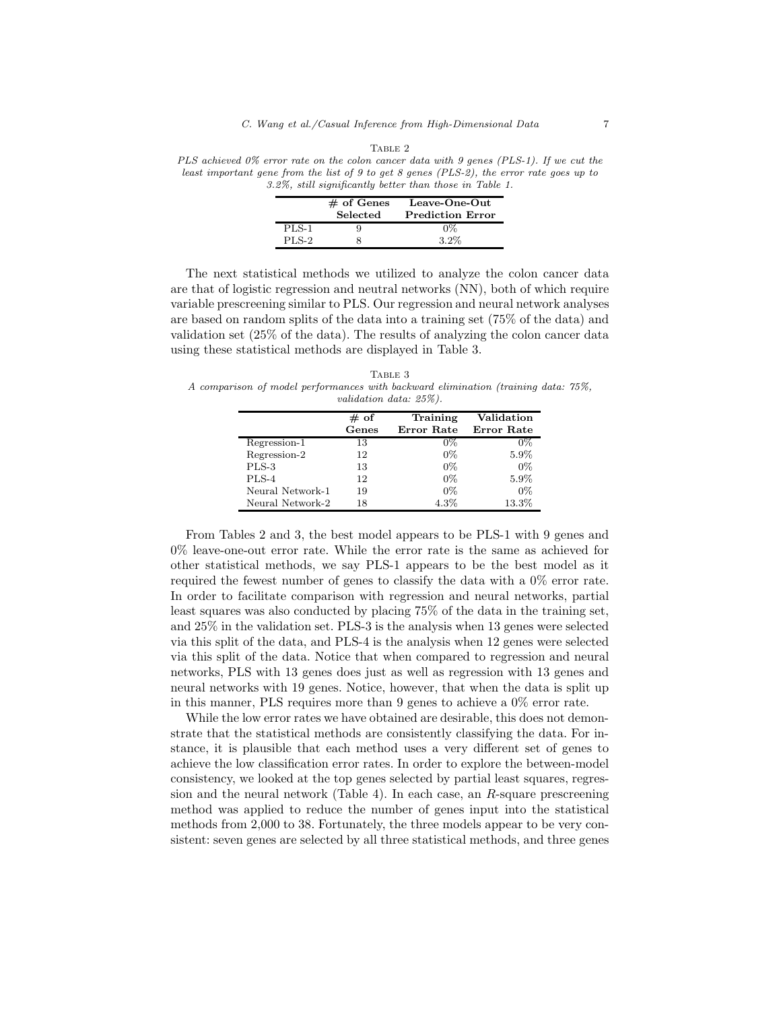| PLS achieved 0% error rate on the colon cancer data with 9 genes (PLS-1). If we cut the       |
|-----------------------------------------------------------------------------------------------|
| least important gene from the list of 9 to get 8 genes ( $PLS-2$ ), the error rate goes up to |
| 3.2%, still significantly better than those in Table 1.                                       |

|              | $#$ of Genes<br>Selected | Leave-One-Out<br><b>Prediction Error</b> |
|--------------|--------------------------|------------------------------------------|
| PLS-1        |                          | $0\%$                                    |
| <b>PLS-2</b> |                          | $3.2\%$                                  |

The next statistical methods we utilized to analyze the colon cancer data are that of logistic regression and neutral networks (NN), both of which require variable prescreening similar to PLS. Our regression and neural network analyses are based on random splits of the data into a training set (75% of the data) and validation set (25% of the data). The results of analyzing the colon cancer data using these statistical methods are displayed in Table 3.

TABLE 3 A comparison of model performances with backward elimination (training data: 75%, validation data: 25%).

|                  | $#$ of | Training   | Validation |
|------------------|--------|------------|------------|
|                  | Genes  | Error Rate | Error Rate |
| Regression-1     | 13     | $0\%$      | $0\%$      |
| Regression-2     | 12     | $0\%$      | 5.9%       |
| PLS-3            | 13     | $0\%$      | $0\%$      |
| PLS-4            | 12     | $0\%$      | 5.9%       |
| Neural Network-1 | 19     | $0\%$      | $0\%$      |
| Neural Network-2 | 18     | $4.3\%$    | 13.3%      |

From Tables 2 and 3, the best model appears to be PLS-1 with 9 genes and 0% leave-one-out error rate. While the error rate is the same as achieved for other statistical methods, we say PLS-1 appears to be the best model as it required the fewest number of genes to classify the data with a 0% error rate. In order to facilitate comparison with regression and neural networks, partial least squares was also conducted by placing 75% of the data in the training set, and 25% in the validation set. PLS-3 is the analysis when 13 genes were selected via this split of the data, and PLS-4 is the analysis when 12 genes were selected via this split of the data. Notice that when compared to regression and neural networks, PLS with 13 genes does just as well as regression with 13 genes and neural networks with 19 genes. Notice, however, that when the data is split up in this manner, PLS requires more than 9 genes to achieve a 0% error rate.

While the low error rates we have obtained are desirable, this does not demonstrate that the statistical methods are consistently classifying the data. For instance, it is plausible that each method uses a very different set of genes to achieve the low classification error rates. In order to explore the between-model consistency, we looked at the top genes selected by partial least squares, regression and the neural network (Table 4). In each case, an R-square prescreening method was applied to reduce the number of genes input into the statistical methods from 2,000 to 38. Fortunately, the three models appear to be very consistent: seven genes are selected by all three statistical methods, and three genes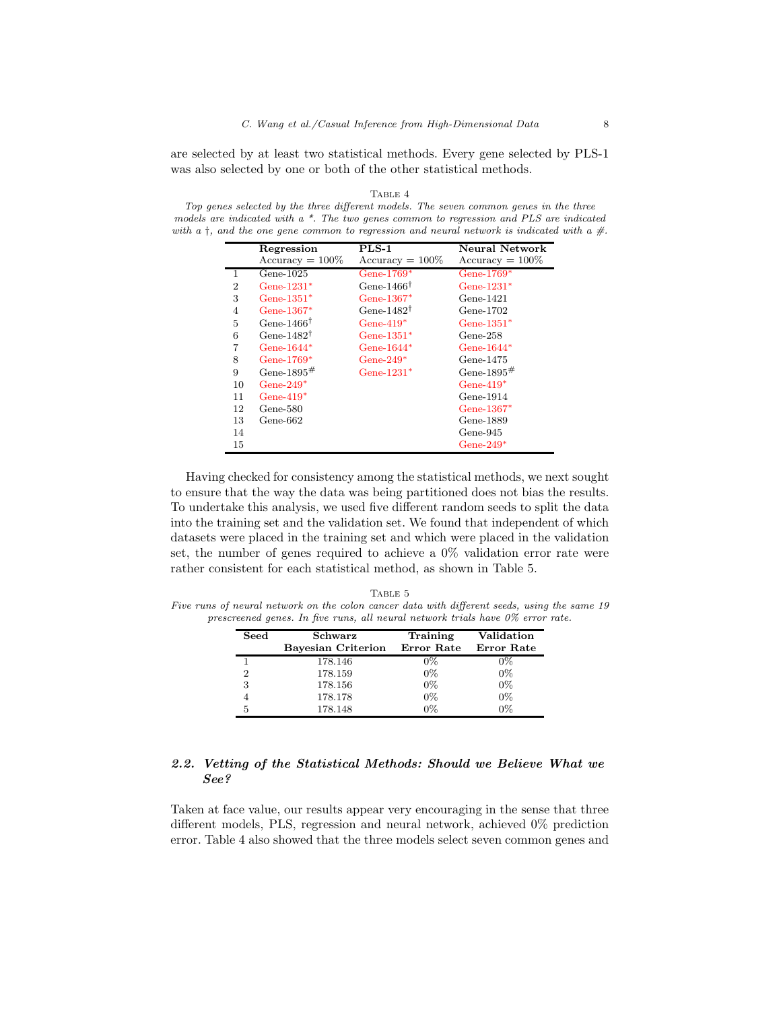are selected by at least two statistical methods. Every gene selected by PLS-1 was also selected by one or both of the other statistical methods.

#### TABLE 4

Top genes selected by the three different models. The seven common genes in the three models are indicated with  $a *$ . The two genes common to regression and PLS are indicated with a  $\dagger$ , and the one gene common to regression and neural network is indicated with a  $\#$ .

|                | Regression             | $PLS-1$                | Neural Network     |
|----------------|------------------------|------------------------|--------------------|
|                | $Accuracy = 100\%$     | $Accuracy = 100\%$     | $Accuracy = 100\%$ |
| $\mathbf{1}$   | Gene- $1025$           | Gene- $1769*$          | Gene- $1769*$      |
| $\overline{2}$ | $Gene-1231*$           | Gene-1466 <sup>†</sup> | Gene- $1231*$      |
| 3              | Gene- $1351*$          | Gene-1367 $*$          | Gene-1421          |
| $\overline{4}$ | Gene-1367*             | Gene-1482 $^{\dagger}$ | Gene-1702          |
| 5              | Gene-1466 <sup>†</sup> | Gene- $419*$           | Gene- $1351*$      |
| 6              | Gene-1482 $^{\dagger}$ | Gene- $1351*$          | $Gene-258$         |
| 7              | Gene- $1644*$          | Gene- $1644*$          | Gene- $1644*$      |
| 8              | Gene- $1769*$          | Gene- $249*$           | Gene-1475          |
| 9              | Gene-1895 $#$          | Gene-1231 $*$          | Gene-1895#         |
| 10             | Gene- $249*$           |                        | Gene- $419*$       |
| 11             | Gene- $419*$           |                        | $Gene-1914$        |
| 12             | Gene-580               |                        | Gene-1367*         |
| 13             | Gene-662               |                        | Gene-1889          |
| 14             |                        |                        | Gene-945           |
| 15             |                        |                        | Gene- $249*$       |

Having checked for consistency among the statistical methods, we next sought to ensure that the way the data was being partitioned does not bias the results. To undertake this analysis, we used five different random seeds to split the data into the training set and the validation set. We found that independent of which datasets were placed in the training set and which were placed in the validation set, the number of genes required to achieve a  $0\%$  validation error rate were rather consistent for each statistical method, as shown in Table 5.

TABLE 5 Five runs of neural network on the colon cancer data with different seeds, using the same 19 prescreened genes. In five runs, all neural network trials have 0% error rate.

| Seed | Schwarz<br>Bayesian Criterion | Training<br>Error Rate | Validation<br>Error Rate |
|------|-------------------------------|------------------------|--------------------------|
|      | 178.146                       | $0\%$                  | 0%                       |
| 2    | 178.159                       | $0\%$                  | $0\%$                    |
| 3    | 178.156                       | $0\%$                  | $0\%$                    |
|      | 178.178                       | $0\%$                  | $0\%$                    |
| 5    | 178.148                       | በጁ                     | በጁ                       |

## *2.2. Vetting of the Statistical Methods: Should we Believe What we See?*

Taken at face value, our results appear very encouraging in the sense that three different models, PLS, regression and neural network, achieved 0% prediction error. Table 4 also showed that the three models select seven common genes and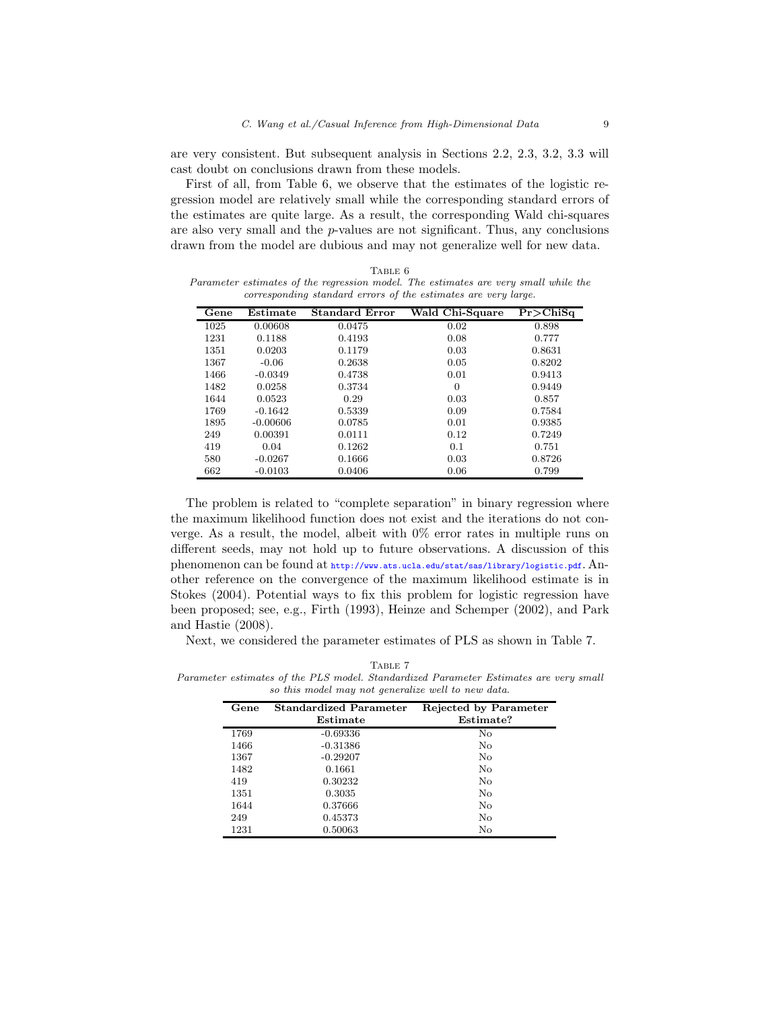are very consistent. But subsequent analysis in Sections 2.2, 2.3, 3.2, 3.3 will cast doubt on conclusions drawn from these models.

First of all, from Table 6, we observe that the estimates of the logistic regression model are relatively small while the corresponding standard errors of the estimates are quite large. As a result, the corresponding Wald chi-squares are also very small and the p-values are not significant. Thus, any conclusions drawn from the model are dubious and may not generalize well for new data.

|                                                                |     | TABLE 6 |                                                                                     |  |
|----------------------------------------------------------------|-----|---------|-------------------------------------------------------------------------------------|--|
|                                                                |     |         | Parameter estimates of the regression model. The estimates are very small while the |  |
| corresponding standard errors of the estimates are very large. |     |         |                                                                                     |  |
|                                                                | $-$ |         |                                                                                     |  |

| Gene | Estimate   | <b>Standard Error</b> | Wald Chi-Square | $Pr$ >ChiSq |
|------|------------|-----------------------|-----------------|-------------|
| 1025 | 0.00608    | 0.0475                | 0.02            | 0.898       |
| 1231 | 0.1188     | 0.4193                | 0.08            | 0.777       |
| 1351 | 0.0203     | 0.1179                | 0.03            | 0.8631      |
| 1367 | $-0.06$    | 0.2638                | 0.05            | 0.8202      |
| 1466 | $-0.0349$  | 0.4738                | 0.01            | 0.9413      |
| 1482 | 0.0258     | 0.3734                | $\Omega$        | 0.9449      |
| 1644 | 0.0523     | 0.29                  | 0.03            | 0.857       |
| 1769 | $-0.1642$  | 0.5339                | 0.09            | 0.7584      |
| 1895 | $-0.00606$ | 0.0785                | 0.01            | 0.9385      |
| 249  | 0.00391    | 0.0111                | 0.12            | 0.7249      |
| 419  | 0.04       | 0.1262                | 0.1             | 0.751       |
| 580  | $-0.0267$  | 0.1666                | 0.03            | 0.8726      |
| 662  | $-0.0103$  | 0.0406                | 0.06            | 0.799       |

The problem is related to "complete separation" in binary regression where the maximum likelihood function does not exist and the iterations do not converge. As a result, the model, albeit with 0% error rates in multiple runs on different seeds, may not hold up to future observations. A discussion of this phenomenon can be found at <http://www.ats.ucla.edu/stat/sas/library/logistic.pdf>. Another reference on the convergence of the maximum likelihood estimate is in Stokes (2004). Potential ways to fix this problem for logistic regression have been proposed; see, e.g., Firth (1993), Heinze and Schemper (2002), and Park and Hastie (2008).

Next, we considered the parameter estimates of PLS as shown in Table 7.

TABLE 7 Parameter estimates of the PLS model. Standardized Parameter Estimates are very small so this model may not generalize well to new data.

| Gene | <b>Standardized Parameter</b> | Rejected by Parameter |
|------|-------------------------------|-----------------------|
|      | Estimate                      | Estimate?             |
| 1769 | $-0.69336$                    | No                    |
| 1466 | $-0.31386$                    | No                    |
| 1367 | $-0.29207$                    | No                    |
| 1482 | 0.1661                        | No                    |
| 419  | 0.30232                       | No                    |
| 1351 | 0.3035                        | No                    |
| 1644 | 0.37666                       | No                    |
| 249  | 0.45373                       | No                    |
| 1231 | 0.50063                       | No                    |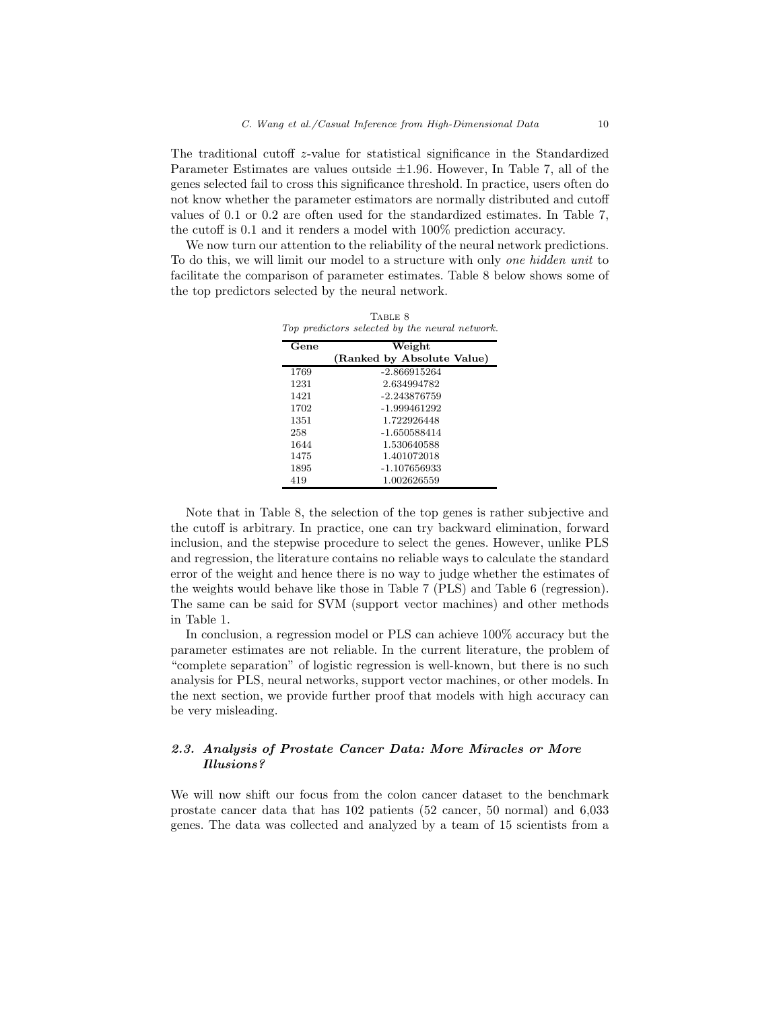The traditional cutoff z-value for statistical significance in the Standardized Parameter Estimates are values outside  $\pm 1.96$ . However, In Table 7, all of the genes selected fail to cross this significance threshold. In practice, users often do not know whether the parameter estimators are normally distributed and cutoff values of 0.1 or 0.2 are often used for the standardized estimates. In Table 7, the cutoff is 0.1 and it renders a model with 100% prediction accuracy.

We now turn our attention to the reliability of the neural network predictions. To do this, we will limit our model to a structure with only *one hidden unit* to facilitate the comparison of parameter estimates. Table 8 below shows some of the top predictors selected by the neural network.

TABLE 8

| Top predictors selected by the neural network. |                            |  |  |
|------------------------------------------------|----------------------------|--|--|
| Gene                                           | Weight                     |  |  |
|                                                | (Ranked by Absolute Value) |  |  |
| 1769                                           | $-2.866915264$             |  |  |
| 1231                                           | 2.634994782                |  |  |
| 1421                                           | $-2.243876759$             |  |  |
| 1702                                           | -1.999461292               |  |  |
| 1351                                           | 1.722926448                |  |  |
| 258                                            | $-1.650588414$             |  |  |
| 1644                                           | 1.530640588                |  |  |
| 1475                                           | 1.401072018                |  |  |
| 1895                                           | -1.107656933               |  |  |
| 419                                            | 1.002626559                |  |  |

Note that in Table 8, the selection of the top genes is rather subjective and the cutoff is arbitrary. In practice, one can try backward elimination, forward inclusion, and the stepwise procedure to select the genes. However, unlike PLS and regression, the literature contains no reliable ways to calculate the standard error of the weight and hence there is no way to judge whether the estimates of the weights would behave like those in Table 7 (PLS) and Table 6 (regression). The same can be said for SVM (support vector machines) and other methods in Table 1.

In conclusion, a regression model or PLS can achieve 100% accuracy but the parameter estimates are not reliable. In the current literature, the problem of "complete separation" of logistic regression is well-known, but there is no such analysis for PLS, neural networks, support vector machines, or other models. In the next section, we provide further proof that models with high accuracy can be very misleading.

# *2.3. Analysis of Prostate Cancer Data: More Miracles or More Illusions?*

We will now shift our focus from the colon cancer dataset to the benchmark prostate cancer data that has 102 patients (52 cancer, 50 normal) and 6,033 genes. The data was collected and analyzed by a team of 15 scientists from a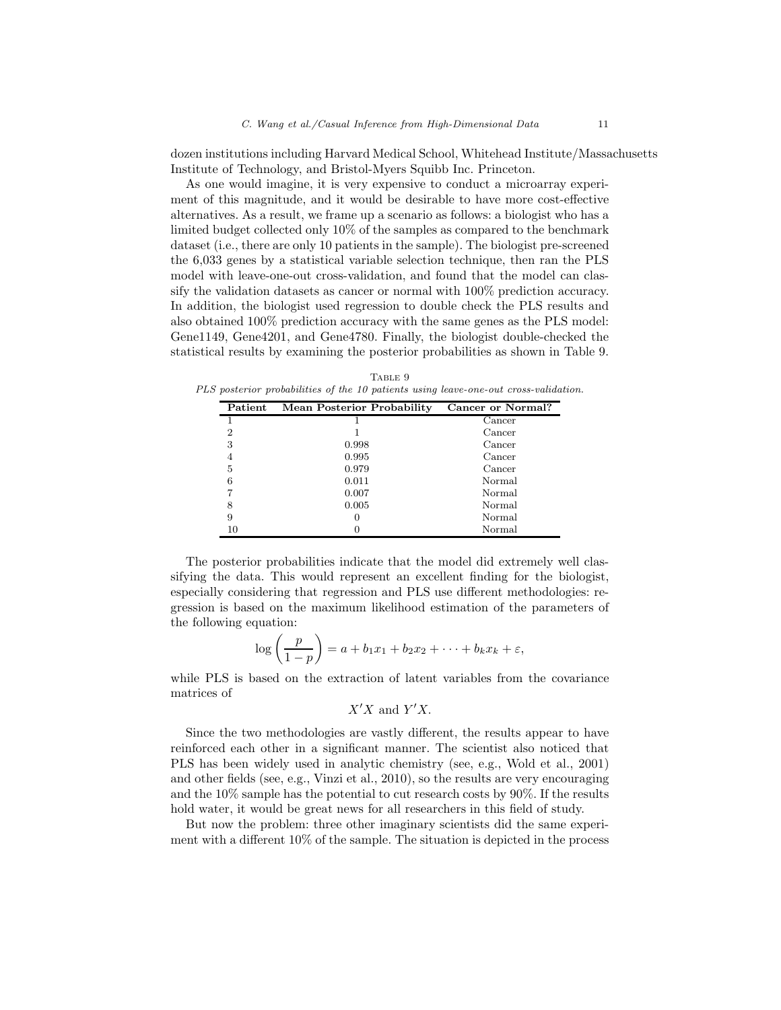dozen institutions including Harvard Medical School, Whitehead Institute/Massachusetts Institute of Technology, and Bristol-Myers Squibb Inc. Princeton.

As one would imagine, it is very expensive to conduct a microarray experiment of this magnitude, and it would be desirable to have more cost-effective alternatives. As a result, we frame up a scenario as follows: a biologist who has a limited budget collected only 10% of the samples as compared to the benchmark dataset (i.e., there are only 10 patients in the sample). The biologist pre-screened the 6,033 genes by a statistical variable selection technique, then ran the PLS model with leave-one-out cross-validation, and found that the model can classify the validation datasets as cancer or normal with 100% prediction accuracy. In addition, the biologist used regression to double check the PLS results and also obtained 100% prediction accuracy with the same genes as the PLS model: Gene1149, Gene4201, and Gene4780. Finally, the biologist double-checked the statistical results by examining the posterior probabilities as shown in Table 9.

TABLE 9 PLS posterior probabilities of the 10 patients using leave-one-out cross-validation.

| Patient | <b>Mean Posterior Probability</b> | Cancer or Normal? |
|---------|-----------------------------------|-------------------|
|         |                                   | Cancer            |
| 2       |                                   | Cancer            |
| 3       | 0.998                             | Cancer            |
|         | 0.995                             | Cancer            |
| 5       | 0.979                             | Cancer            |
| 6       | 0.011                             | <b>Normal</b>     |
|         | 0.007                             | Normal            |
| 8       | 0.005                             | <b>Normal</b>     |
| 9       |                                   | <b>Normal</b>     |
| 10      |                                   | Normal            |

The posterior probabilities indicate that the model did extremely well classifying the data. This would represent an excellent finding for the biologist, especially considering that regression and PLS use different methodologies: regression is based on the maximum likelihood estimation of the parameters of the following equation:

$$
\log\left(\frac{p}{1-p}\right) = a + b_1x_1 + b_2x_2 + \cdots + b_kx_k + \varepsilon,
$$

while PLS is based on the extraction of latent variables from the covariance matrices of

$$
X'X
$$
 and  $Y'X$ .

Since the two methodologies are vastly different, the results appear to have reinforced each other in a significant manner. The scientist also noticed that PLS has been widely used in analytic chemistry (see, e.g., Wold et al., 2001) and other fields (see, e.g., Vinzi et al., 2010), so the results are very encouraging and the 10% sample has the potential to cut research costs by 90%. If the results hold water, it would be great news for all researchers in this field of study.

But now the problem: three other imaginary scientists did the same experiment with a different 10% of the sample. The situation is depicted in the process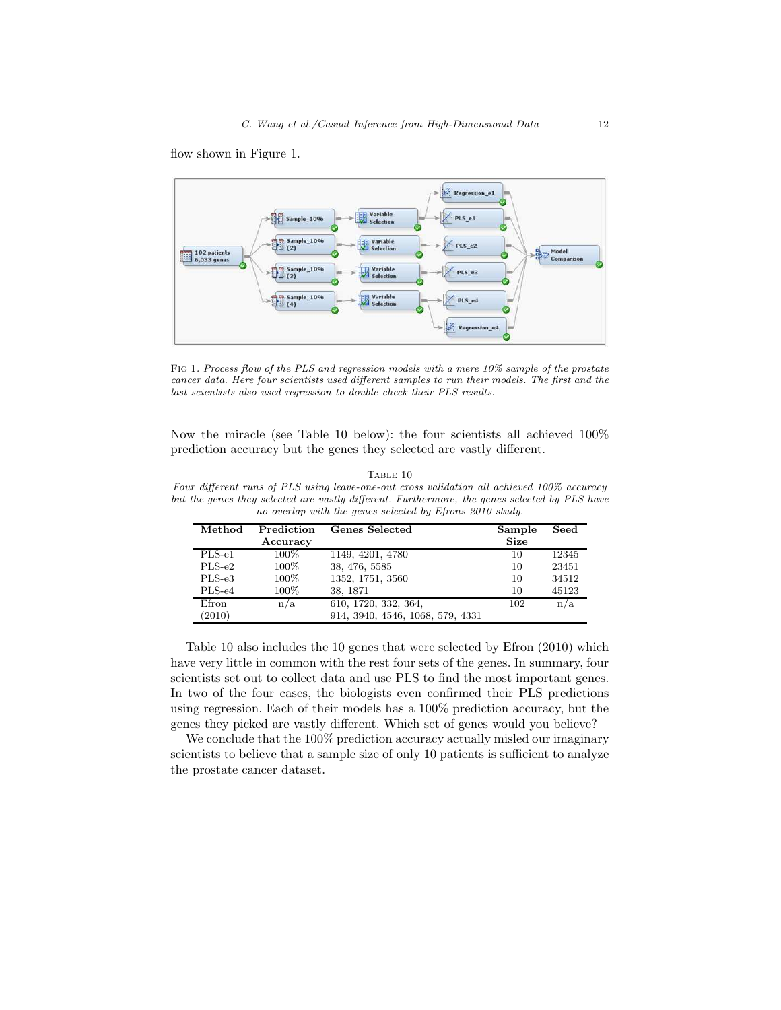flow shown in Figure 1.



Fig 1. Process flow of the PLS and regression models with a mere 10% sample of the prostate cancer data. Here four scientists used different samples to run their models. The first and the last scientists also used regression to double check their PLS results.

Now the miracle (see Table 10 below): the four scientists all achieved 100% prediction accuracy but the genes they selected are vastly different.

| it the genes they selected are vastly different. Furthermore, the genes selected by PLS ha<br>no overlap with the genes selected by Efrons 2010 study. |                        |                       |                       |       |  |
|--------------------------------------------------------------------------------------------------------------------------------------------------------|------------------------|-----------------------|-----------------------|-------|--|
| Method                                                                                                                                                 | Prediction<br>Accuracy | <b>Genes Selected</b> | Sample<br><b>Size</b> | Seed  |  |
| $PLS-e1$                                                                                                                                               | $100\%$                | 1149, 4201, 4780      | 10                    | 12345 |  |
| $PLS-e2$                                                                                                                                               | $100\%$                | 38, 476, 5585         | 10                    | 23451 |  |
| $PLS-e3$                                                                                                                                               | $100\%$                | 1352, 1751, 3560      | 10                    | 34512 |  |
| $PLS-e4$                                                                                                                                               | 100%                   | 38.1871               | 10                    | 45123 |  |

Efron  $n/a$  610, 1720, 332, 364, 102  $n/a$  (2010) 914, 3940, 4546, 1068, 579, 4331 (2010) 914, 3940, 4546, 1068, 579, 4331

Four different runs of PLS using leave-one-out cross validation all achieved 100% accuracy<br>but the genes they selected are vastly different. Furthermore, the genes selected by PLS have but the genes they selected are vastly different. Furthermore, the genes selected by PLS have

TABLE 10

Table 10 also includes the 10 genes that were selected by Efron (2010) which have very little in common with the rest four sets of the genes. In summary, four scientists set out to collect data and use PLS to find the most important genes. In two of the four cases, the biologists even confirmed their PLS predictions using regression. Each of their models has a 100% prediction accuracy, but the genes they picked are vastly different. Which set of genes would you believe?

We conclude that the  $100\%$  prediction accuracy actually misled our imaginary scientists to believe that a sample size of only 10 patients is sufficient to analyze the prostate cancer dataset.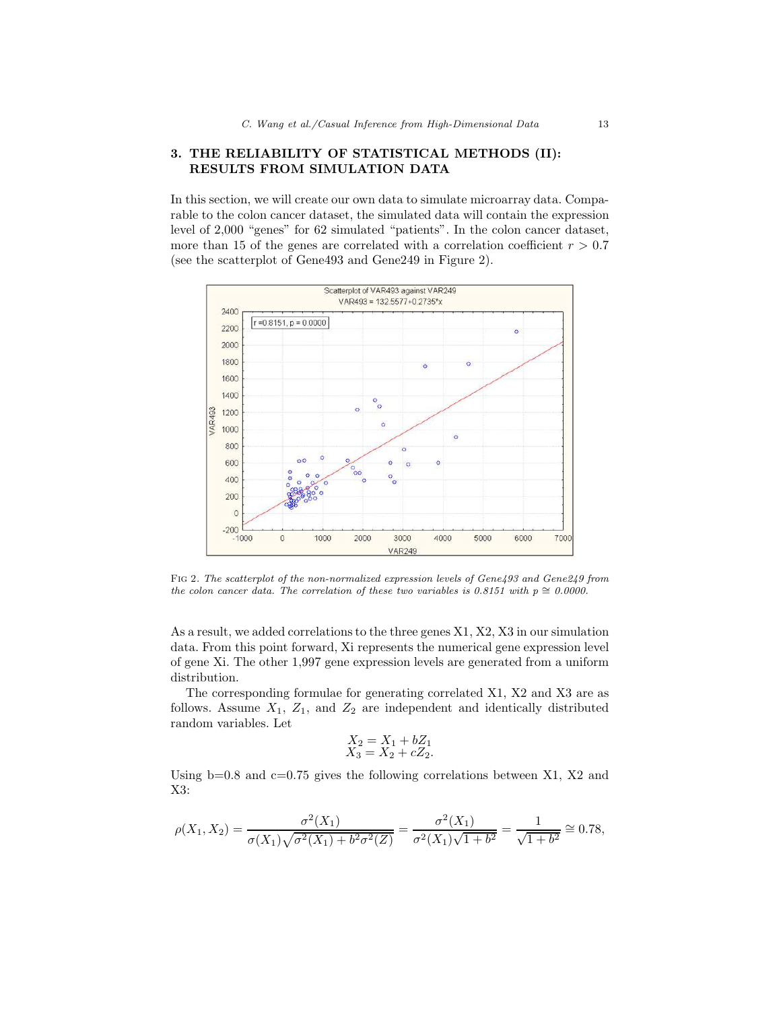# 3. THE RELIABILITY OF STATISTICAL METHODS (II): RESULTS FROM SIMULATION DATA

In this section, we will create our own data to simulate microarray data. Comparable to the colon cancer dataset, the simulated data will contain the expression level of 2,000 "genes" for 62 simulated "patients". In the colon cancer dataset, more than 15 of the genes are correlated with a correlation coefficient  $r > 0.7$ (see the scatterplot of Gene493 and Gene249 in Figure 2).



Fig 2. The scatterplot of the non-normalized expression levels of Gene493 and Gene249 from the colon cancer data. The correlation of these two variables is 0.8151 with  $p \approx 0.0000$ .

As a result, we added correlations to the three genes X1, X2, X3 in our simulation data. From this point forward, Xi represents the numerical gene expression level of gene Xi. The other 1,997 gene expression levels are generated from a uniform distribution.

The corresponding formulae for generating correlated X1, X2 and X3 are as follows. Assume  $X_1$ ,  $Z_1$ , and  $Z_2$  are independent and identically distributed random variables. Let

$$
\begin{array}{l} X_2 = X_1 + bZ_1 \\ X_3 = X_2 + cZ_2. \end{array}
$$

Using  $b=0.8$  and  $c=0.75$  gives the following correlations between X1, X2 and X3:

$$
\rho(X_1, X_2) = \frac{\sigma^2(X_1)}{\sigma(X_1)\sqrt{\sigma^2(X_1) + b^2\sigma^2(Z)}} = \frac{\sigma^2(X_1)}{\sigma^2(X_1)\sqrt{1 + b^2}} = \frac{1}{\sqrt{1 + b^2}} \approx 0.78,
$$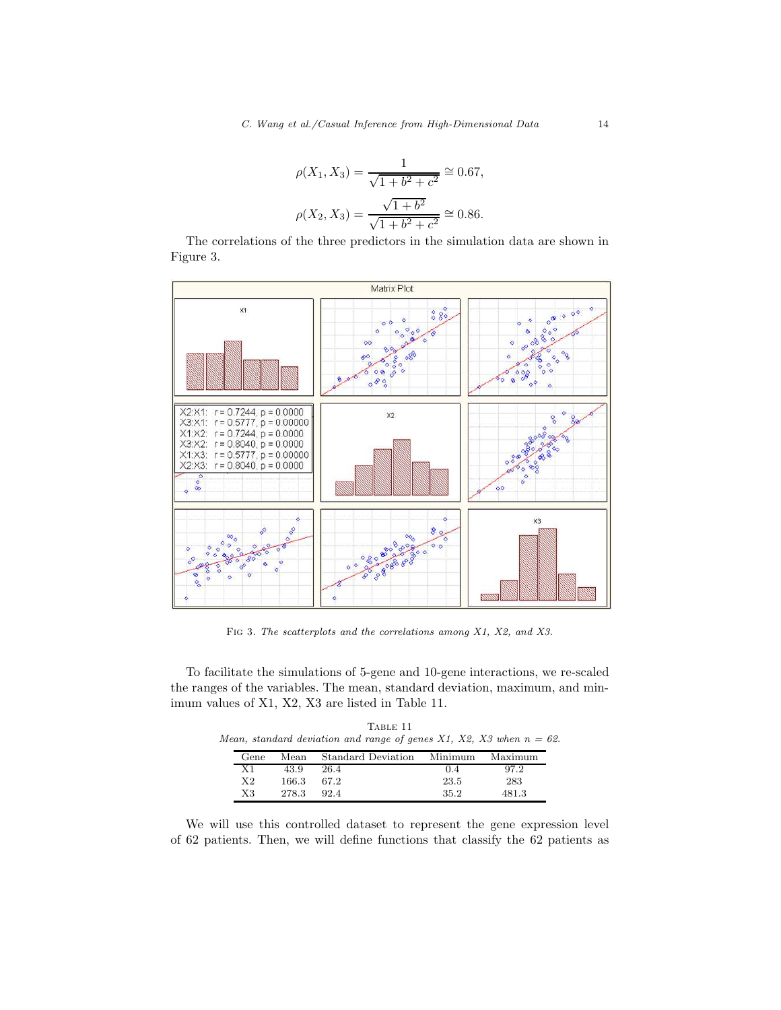$$
\rho(X_1, X_3) = \frac{1}{\sqrt{1 + b^2 + c^2}} \approx 0.67,
$$
  

$$
\rho(X_2, X_3) = \frac{\sqrt{1 + b^2}}{\sqrt{1 + b^2 + c^2}} \approx 0.86.
$$

The correlations of the three predictors in the simulation data are shown in Figure 3.



FIG 3. The scatterplots and the correlations among X1, X2, and X3.

To facilitate the simulations of 5-gene and 10-gene interactions, we re-scaled the ranges of the variables. The mean, standard deviation, maximum, and minimum values of X1, X2, X3 are listed in Table 11.

TABLE 11 Mean, standard deviation and range of genes X1, X2, X3 when  $n = 62$ .

| Gene        | Mean  | Standard Deviation | Minimum | Maximum |
|-------------|-------|--------------------|---------|---------|
| Χ1          | 43.9  | 26.4               | 0.4     | 97.2    |
| X2          | 166.3 | 67.2               | 23.5    | 283     |
| $_{\rm X3}$ | 278.3 | 92.4               | 35.2    | 481.3   |

We will use this controlled dataset to represent the gene expression level of 62 patients. Then, we will define functions that classify the 62 patients as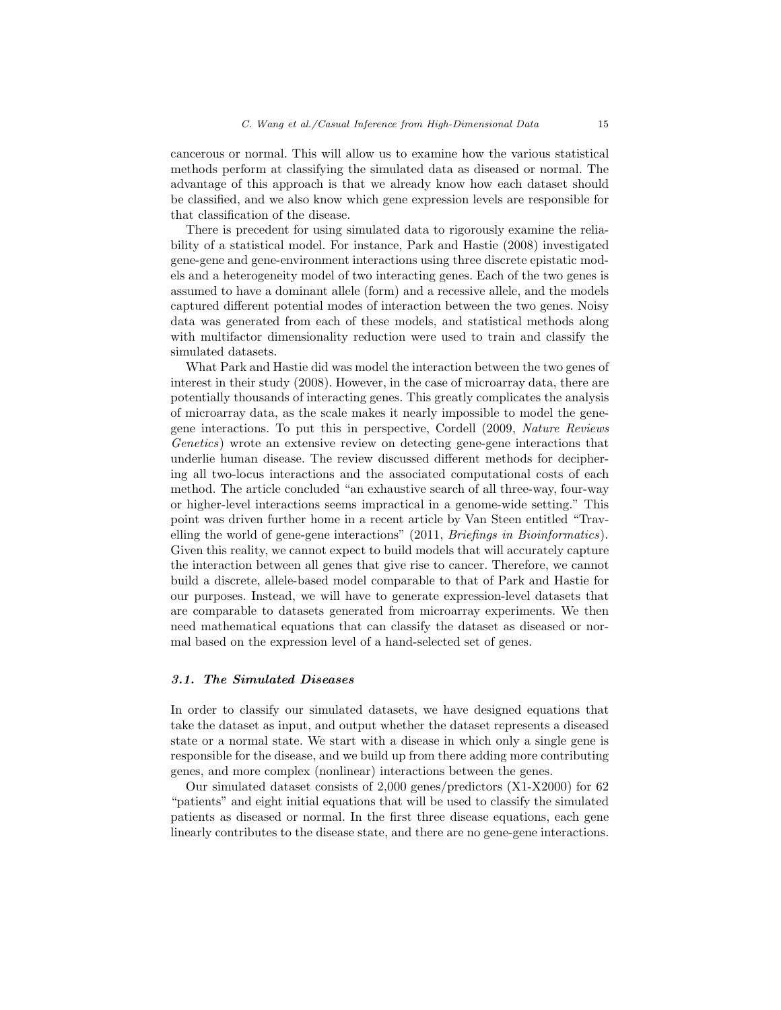cancerous or normal. This will allow us to examine how the various statistical methods perform at classifying the simulated data as diseased or normal. The advantage of this approach is that we already know how each dataset should be classified, and we also know which gene expression levels are responsible for that classification of the disease.

There is precedent for using simulated data to rigorously examine the reliability of a statistical model. For instance, Park and Hastie (2008) investigated gene-gene and gene-environment interactions using three discrete epistatic models and a heterogeneity model of two interacting genes. Each of the two genes is assumed to have a dominant allele (form) and a recessive allele, and the models captured different potential modes of interaction between the two genes. Noisy data was generated from each of these models, and statistical methods along with multifactor dimensionality reduction were used to train and classify the simulated datasets.

What Park and Hastie did was model the interaction between the two genes of interest in their study (2008). However, in the case of microarray data, there are potentially thousands of interacting genes. This greatly complicates the analysis of microarray data, as the scale makes it nearly impossible to model the genegene interactions. To put this in perspective, Cordell (2009, *Nature Reviews Genetics*) wrote an extensive review on detecting gene-gene interactions that underlie human disease. The review discussed different methods for deciphering all two-locus interactions and the associated computational costs of each method. The article concluded "an exhaustive search of all three-way, four-way or higher-level interactions seems impractical in a genome-wide setting." This point was driven further home in a recent article by Van Steen entitled "Travelling the world of gene-gene interactions" (2011, *Briefings in Bioinformatics*). Given this reality, we cannot expect to build models that will accurately capture the interaction between all genes that give rise to cancer. Therefore, we cannot build a discrete, allele-based model comparable to that of Park and Hastie for our purposes. Instead, we will have to generate expression-level datasets that are comparable to datasets generated from microarray experiments. We then need mathematical equations that can classify the dataset as diseased or normal based on the expression level of a hand-selected set of genes.

#### *3.1. The Simulated Diseases*

In order to classify our simulated datasets, we have designed equations that take the dataset as input, and output whether the dataset represents a diseased state or a normal state. We start with a disease in which only a single gene is responsible for the disease, and we build up from there adding more contributing genes, and more complex (nonlinear) interactions between the genes.

Our simulated dataset consists of 2,000 genes/predictors (X1-X2000) for 62 "patients" and eight initial equations that will be used to classify the simulated patients as diseased or normal. In the first three disease equations, each gene linearly contributes to the disease state, and there are no gene-gene interactions.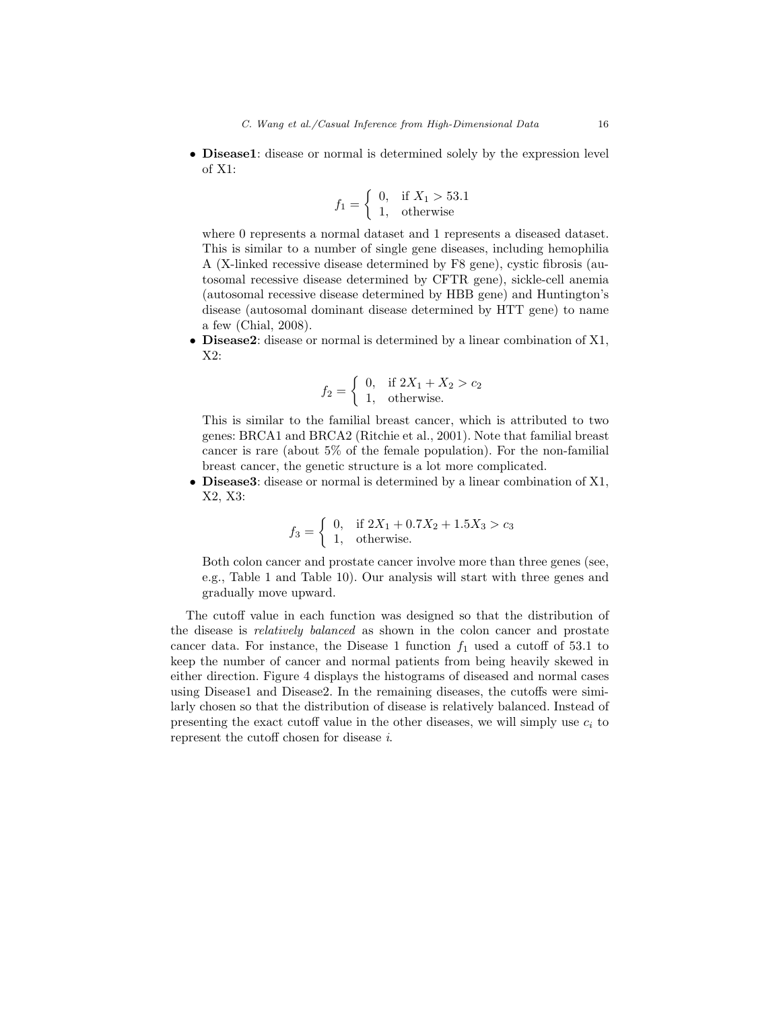• Disease1: disease or normal is determined solely by the expression level of X1:

$$
f_1 = \begin{cases} 0, & \text{if } X_1 > 53.1 \\ 1, & \text{otherwise} \end{cases}
$$

where 0 represents a normal dataset and 1 represents a diseased dataset. This is similar to a number of single gene diseases, including hemophilia A (X-linked recessive disease determined by F8 gene), cystic fibrosis (autosomal recessive disease determined by CFTR gene), sickle-cell anemia (autosomal recessive disease determined by HBB gene) and Huntington's disease (autosomal dominant disease determined by HTT gene) to name a few (Chial, 2008).

• Disease2: disease or normal is determined by a linear combination of X1, X2:

$$
f_2 = \begin{cases} 0, & \text{if } 2X_1 + X_2 > c_2 \\ 1, & \text{otherwise.} \end{cases}
$$

This is similar to the familial breast cancer, which is attributed to two genes: BRCA1 and BRCA2 (Ritchie et al., 2001). Note that familial breast cancer is rare (about 5% of the female population). For the non-familial breast cancer, the genetic structure is a lot more complicated.

• Disease3: disease or normal is determined by a linear combination of X1, X2, X3:

$$
f_3 = \begin{cases} 0, & \text{if } 2X_1 + 0.7X_2 + 1.5X_3 > c_3 \\ 1, & \text{otherwise.} \end{cases}
$$

Both colon cancer and prostate cancer involve more than three genes (see, e.g., Table 1 and Table 10). Our analysis will start with three genes and gradually move upward.

The cutoff value in each function was designed so that the distribution of the disease is *relatively balanced* as shown in the colon cancer and prostate cancer data. For instance, the Disease 1 function  $f_1$  used a cutoff of 53.1 to keep the number of cancer and normal patients from being heavily skewed in either direction. Figure 4 displays the histograms of diseased and normal cases using Disease1 and Disease2. In the remaining diseases, the cutoffs were similarly chosen so that the distribution of disease is relatively balanced. Instead of presenting the exact cutoff value in the other diseases, we will simply use  $c_i$  to represent the cutoff chosen for disease *i*.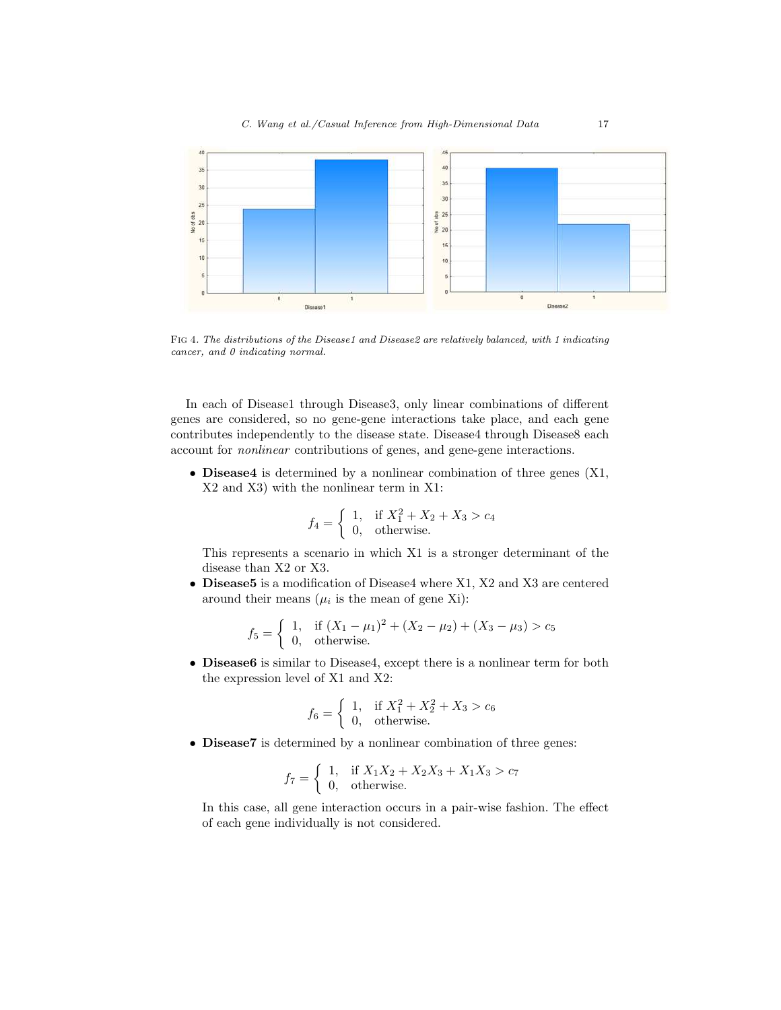

FIG 4. The distributions of the Disease1 and Disease2 are relatively balanced, with 1 indicating cancer, and 0 indicating normal.

In each of Disease1 through Disease3, only linear combinations of different genes are considered, so no gene-gene interactions take place, and each gene contributes independently to the disease state. Disease4 through Disease8 each account for *nonlinear* contributions of genes, and gene-gene interactions.

• **Disease4** is determined by a nonlinear combination of three genes  $(X1, ...)$ X2 and X3) with the nonlinear term in X1:

$$
f_4 = \begin{cases} 1, & \text{if } X_1^2 + X_2 + X_3 > c_4 \\ 0, & \text{otherwise.} \end{cases}
$$

This represents a scenario in which X1 is a stronger determinant of the disease than X2 or X3.

• Disease5 is a modification of Disease4 where X1, X2 and X3 are centered around their means  $(\mu_i$  is the mean of gene Xi):

$$
f_5 = \begin{cases} 1, & \text{if } (X_1 - \mu_1)^2 + (X_2 - \mu_2) + (X_3 - \mu_3) > c_5 \\ 0, & \text{otherwise.} \end{cases}
$$

• Disease6 is similar to Disease4, except there is a nonlinear term for both the expression level of X1 and X2:

$$
f_6 = \begin{cases} 1, & \text{if } X_1^2 + X_2^2 + X_3 > c_6 \\ 0, & \text{otherwise.} \end{cases}
$$

• Disease7 is determined by a nonlinear combination of three genes:

$$
f_7 = \begin{cases} 1, & \text{if } X_1 X_2 + X_2 X_3 + X_1 X_3 > c_7 \\ 0, & \text{otherwise.} \end{cases}
$$

In this case, all gene interaction occurs in a pair-wise fashion. The effect of each gene individually is not considered.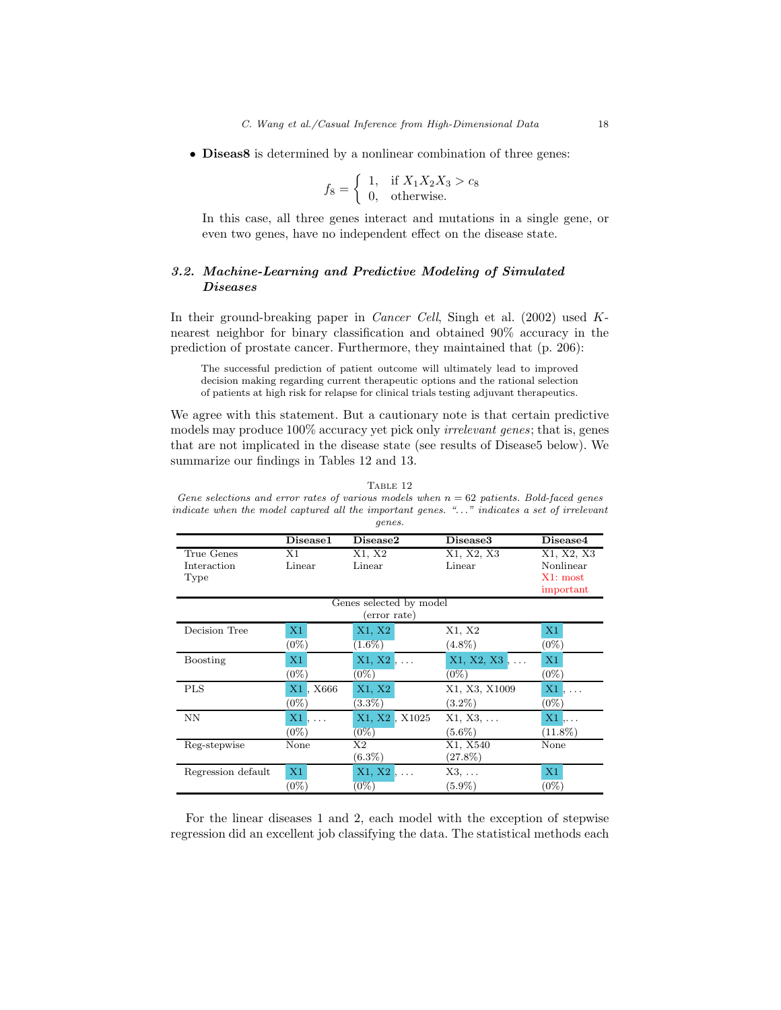• Diseas8 is determined by a nonlinear combination of three genes:

$$
f_8 = \begin{cases} 1, & \text{if } X_1 X_2 X_3 > c_8 \\ 0, & \text{otherwise.} \end{cases}
$$

In this case, all three genes interact and mutations in a single gene, or even two genes, have no independent effect on the disease state.

# *3.2. Machine-Learning and Predictive Modeling of Simulated Diseases*

In their ground-breaking paper in *Cancer Cell*, Singh et al. (2002) used Knearest neighbor for binary classification and obtained 90% accuracy in the prediction of prostate cancer. Furthermore, they maintained that (p. 206):

The successful prediction of patient outcome will ultimately lead to improved decision making regarding current therapeutic options and the rational selection of patients at high risk for relapse for clinical trials testing adjuvant therapeutics.

We agree with this statement. But a cautionary note is that certain predictive models may produce 100% accuracy yet pick only *irrelevant genes*; that is, genes that are not implicated in the disease state (see results of Disease5 below). We summarize our findings in Tables 12 and 13.

TABLE 12 Gene selections and error rates of various models when  $n = 62$  patients. Bold-faced genes indicate when the model captured all the important genes. ". . ." indicates a set of irrelevant genes.

|                    | Disease1 | Disease2                | Disease3         | Disease4               |
|--------------------|----------|-------------------------|------------------|------------------------|
| True Genes         | X1       | X1, X2                  | X1, X2, X3       | <del>X1</del> , X2, X3 |
| Interaction        | Linear   | Linear                  | Linear           | Nonlinear              |
| Type               |          |                         |                  | X1: most               |
|                    |          |                         |                  | important              |
|                    |          | Genes selected by model |                  |                        |
|                    |          | (error rate)            |                  |                        |
| Decision Tree      | X1       | X1, X2                  | X1, X2           | X1                     |
|                    | $(0\%)$  | $1.6\%)$                | $(4.8\%)$        | $(0\%)$                |
| <b>Boosting</b>    | X1       | $X1, X2, \ldots$        | X1, X2, X3<br>l. | X1                     |
|                    | $(0\%)$  | $(0\%)$                 | $(0\%)$          | $(0\%)$                |
| <b>PLS</b>         | X1, X666 | X1, X2                  | X1, X3, X1009    | X1<br>$\ldots$         |
|                    | $(0\%)$  | $(3.3\%)$               | $(3.2\%)$        | $(0\%)$                |
| <b>NN</b>          | X1<br>.  | X1, X2, X1025           | $X1, X3, \ldots$ | $X1, \ldots$           |
|                    | $(0\%)$  | $(0\%)$                 | $(5.6\%)$        | $(11.8\%)$             |
| Reg-stepwise       | None     | Χ2                      | X1, X540         | None                   |
|                    |          | $(6.3\%)$               | $(27.8\%)$       |                        |
| Regression default | X1       | $X1, X2, \ldots$        | $X3, \ldots$     | X1                     |
|                    | $(0\%)$  | $(0\%)$                 | $(5.9\%)$        | $(0\%)$                |

For the linear diseases 1 and 2, each model with the exception of stepwise regression did an excellent job classifying the data. The statistical methods each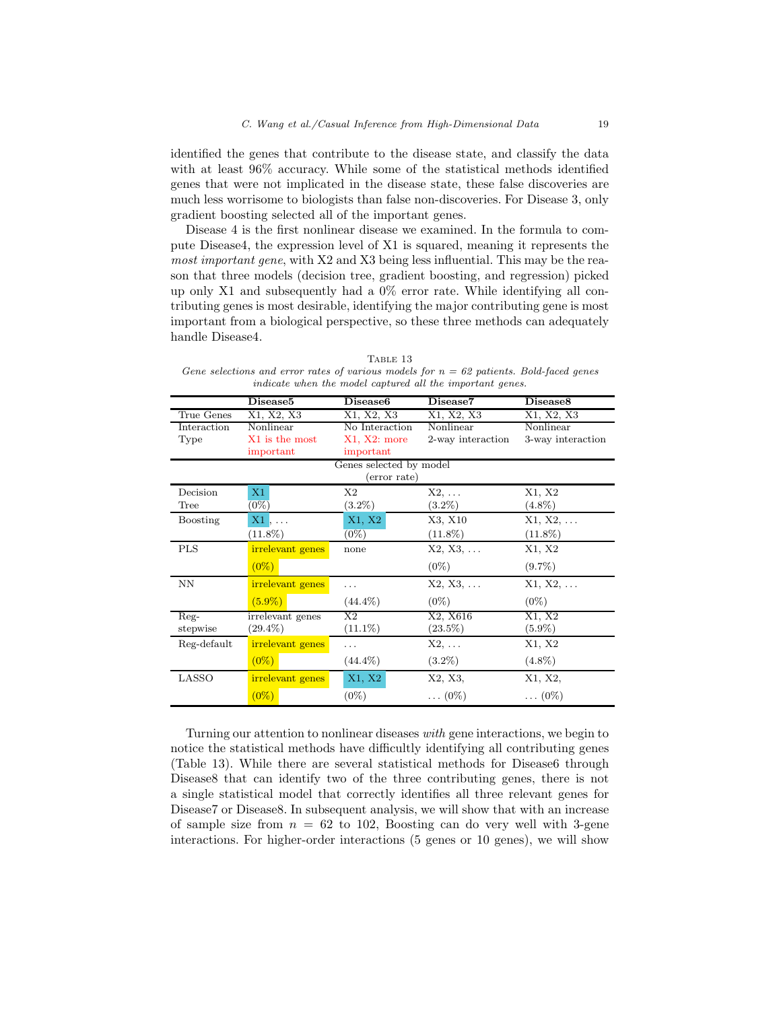identified the genes that contribute to the disease state, and classify the data with at least 96% accuracy. While some of the statistical methods identified genes that were not implicated in the disease state, these false discoveries are much less worrisome to biologists than false non-discoveries. For Disease 3, only gradient boosting selected all of the important genes.

Disease 4 is the first nonlinear disease we examined. In the formula to compute Disease4, the expression level of X1 is squared, meaning it represents the *most important gene*, with X2 and X3 being less influential. This may be the reason that three models (decision tree, gradient boosting, and regression) picked up only X1 and subsequently had a 0% error rate. While identifying all contributing genes is most desirable, identifying the major contributing gene is most important from a biological perspective, so these three methods can adequately handle Disease4.

| TABLE 13                                                                                  |  |
|-------------------------------------------------------------------------------------------|--|
| Gene selections and error rates of various models for $n = 62$ patients. Bold-faced genes |  |
| indicate when the model captured all the important genes.                                 |  |

|             | Disease5         | Disease <sub>6</sub>    | Disease7          | Disease8          |
|-------------|------------------|-------------------------|-------------------|-------------------|
| True Genes  | X1, X2, X3       | X1, X2, X3              | X1, X2, X3        | X1, X2, X3        |
| Interaction | Nonlinear        | No Interaction          | Nonlinear         | Nonlinear         |
| Type        | X1 is the most   | $X1, X2:$ more          | 2-way interaction | 3-way interaction |
|             | important        | important               |                   |                   |
|             |                  | Genes selected by model |                   |                   |
|             |                  | (error rate)            |                   |                   |
| Decision    | X1               | X <sub>2</sub>          | $X2, \ldots$      | X1, X2            |
| Tree        | $(0\%)$          | $(3.2\%)$               | $(3.2\%)$         | $(4.8\%)$         |
| Boosting    | $X1, \ldots$     | X1, X2                  | X3, X10           | $X1, X2, \ldots$  |
|             | $(11.8\%)$       | $(0\%)$                 | $(11.8\%)$        | $(11.8\%)$        |
| <b>PLS</b>  | irrelevant genes | none                    | $X2, X3, \ldots$  | X1, X2            |
|             | $(0\%)$          |                         | $(0\%)$           | $(9.7\%)$         |
| ΝN          | irrelevant genes | .                       | $X2, X3, \ldots$  | $X1, X2, \ldots$  |
|             | $(5.9\%)$        | $(44.4\%)$              | $(0\%)$           | $(0\%)$           |
| Reg-        | irrelevant genes | X2                      | X2, X616          | X1, X2            |
| stepwise    | $(29.4\%)$       | $(11.1\%)$              | $(23.5\%)$        | $(5.9\%)$         |
| Reg-default | irrelevant genes | .                       | $X2, \ldots$      | X1, X2            |
|             | $(0\%)$          | $(44.4\%)$              | $(3.2\%)$         | $(4.8\%)$         |
| LASSO       | irrelevant genes | X1, X2                  | X2, X3,           | X1, X2,           |
|             | $(0\%)$          | $(0\%)$                 | $\ldots (0\%)$    | $\dots(0\%)$      |

Turning our attention to nonlinear diseases *with* gene interactions, we begin to notice the statistical methods have difficultly identifying all contributing genes (Table 13). While there are several statistical methods for Disease6 through Disease8 that can identify two of the three contributing genes, there is not a single statistical model that correctly identifies all three relevant genes for Disease7 or Disease8. In subsequent analysis, we will show that with an increase of sample size from  $n = 62$  to 102, Boosting can do very well with 3-gene interactions. For higher-order interactions (5 genes or 10 genes), we will show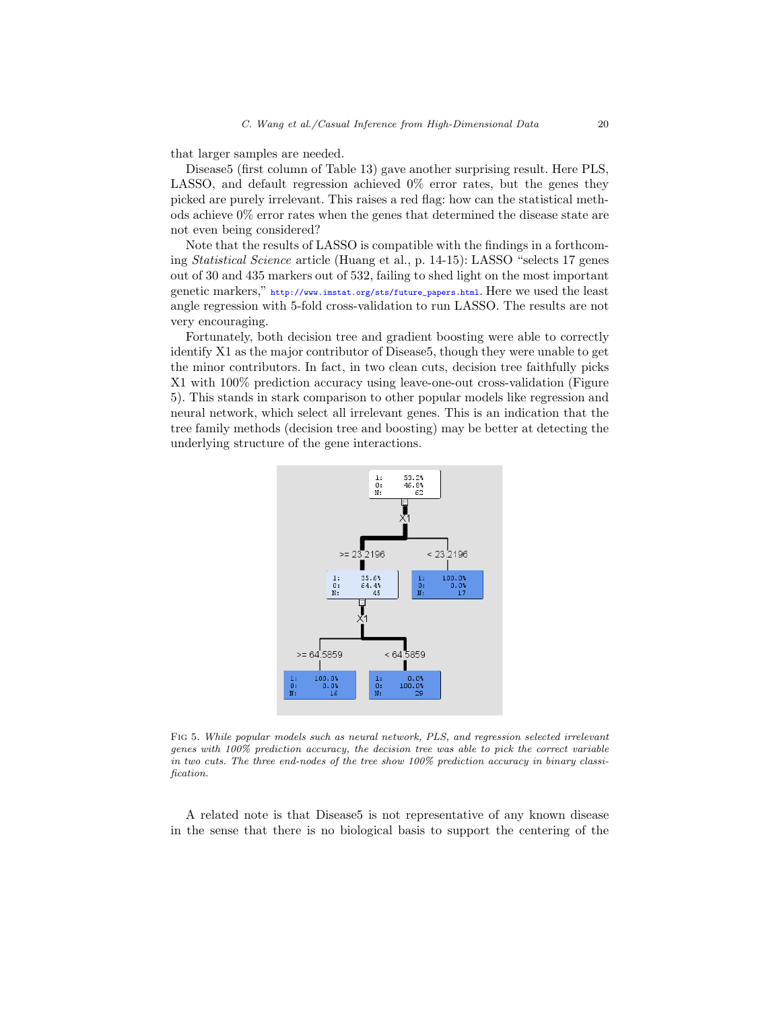that larger samples are needed.

Disease5 (first column of Table 13) gave another surprising result. Here PLS, LASSO, and default regression achieved 0% error rates, but the genes they picked are purely irrelevant. This raises a red flag: how can the statistical methods achieve 0% error rates when the genes that determined the disease state are not even being considered?

Note that the results of LASSO is compatible with the findings in a forthcoming *Statistical Science* article (Huang et al., p. 14-15): LASSO "selects 17 genes out of 30 and 435 markers out of 532, failing to shed light on the most important genetic markers," [http://www.imstat.org/sts/future\\_papers.html](http://www.imstat.org/sts/future_papers.html). Here we used the least angle regression with 5-fold cross-validation to run LASSO. The results are not very encouraging.

Fortunately, both decision tree and gradient boosting were able to correctly identify X1 as the major contributor of Disease5, though they were unable to get the minor contributors. In fact, in two clean cuts, decision tree faithfully picks X1 with 100% prediction accuracy using leave-one-out cross-validation (Figure 5). This stands in stark comparison to other popular models like regression and neural network, which select all irrelevant genes. This is an indication that the tree family methods (decision tree and boosting) may be better at detecting the underlying structure of the gene interactions.



Fig 5. While popular models such as neural network, PLS, and regression selected irrelevant genes with 100% prediction accuracy, the decision tree was able to pick the correct variable in two cuts. The three end-nodes of the tree show 100% prediction accuracy in binary classification.

A related note is that Disease5 is not representative of any known disease in the sense that there is no biological basis to support the centering of the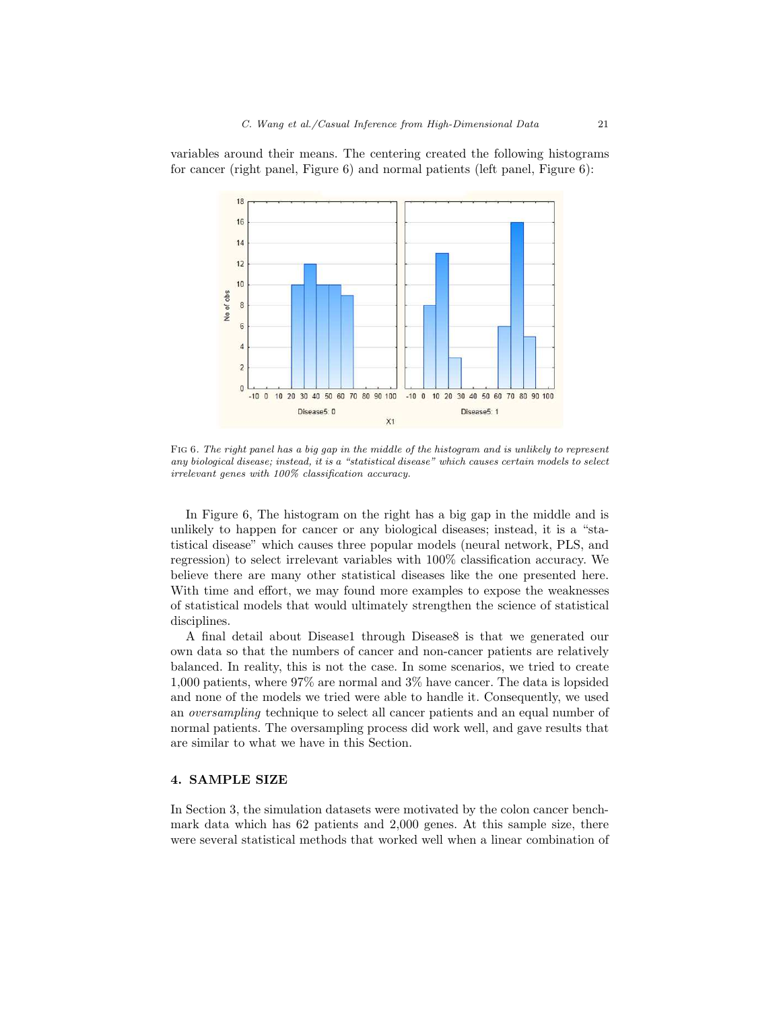variables around their means. The centering created the following histograms for cancer (right panel, Figure 6) and normal patients (left panel, Figure 6):



FIG 6. The right panel has a big gap in the middle of the histogram and is unlikely to represent any biological disease; instead, it is a "statistical disease" which causes certain models to select irrelevant genes with 100% classification accuracy.

In Figure 6, The histogram on the right has a big gap in the middle and is unlikely to happen for cancer or any biological diseases; instead, it is a "statistical disease" which causes three popular models (neural network, PLS, and regression) to select irrelevant variables with 100% classification accuracy. We believe there are many other statistical diseases like the one presented here. With time and effort, we may found more examples to expose the weaknesses of statistical models that would ultimately strengthen the science of statistical disciplines.

A final detail about Disease1 through Disease8 is that we generated our own data so that the numbers of cancer and non-cancer patients are relatively balanced. In reality, this is not the case. In some scenarios, we tried to create 1,000 patients, where 97% are normal and 3% have cancer. The data is lopsided and none of the models we tried were able to handle it. Consequently, we used an *oversampling* technique to select all cancer patients and an equal number of normal patients. The oversampling process did work well, and gave results that are similar to what we have in this Section.

#### 4. SAMPLE SIZE

In Section 3, the simulation datasets were motivated by the colon cancer benchmark data which has 62 patients and 2,000 genes. At this sample size, there were several statistical methods that worked well when a linear combination of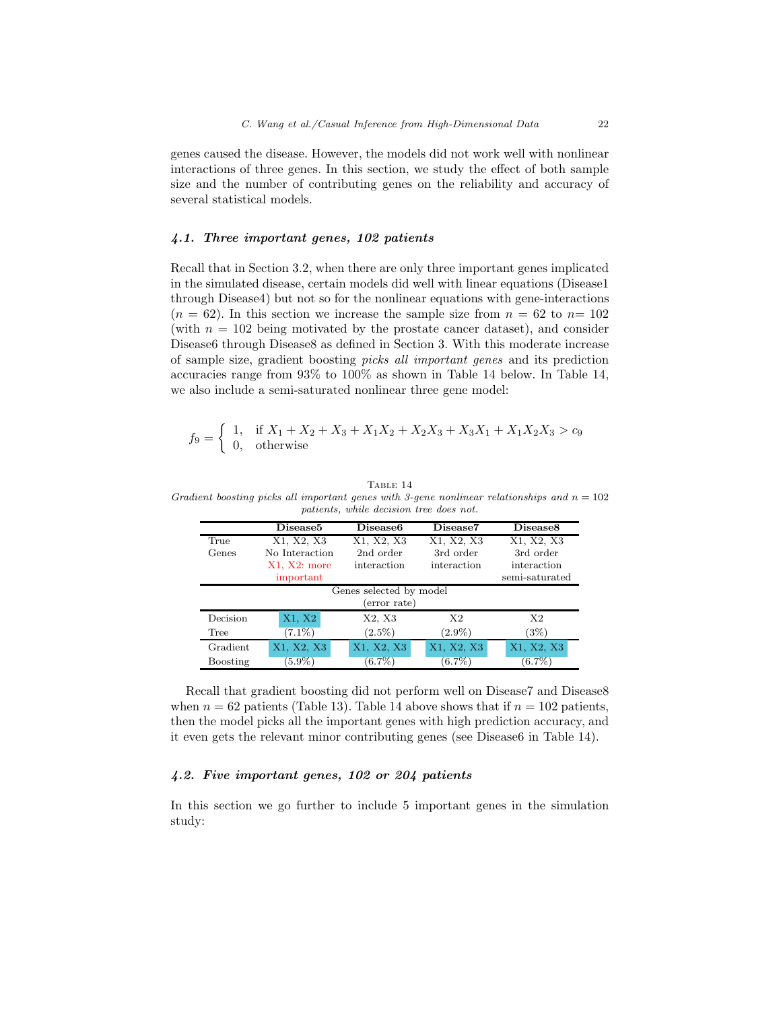genes caused the disease. However, the models did not work well with nonlinear interactions of three genes. In this section, we study the effect of both sample size and the number of contributing genes on the reliability and accuracy of several statistical models.

## *4.1. Three important genes, 102 patients*

Recall that in Section 3.2, when there are only three important genes implicated in the simulated disease, certain models did well with linear equations (Disease1 through Disease4) but not so for the nonlinear equations with gene-interactions  $(n = 62)$ . In this section we increase the sample size from  $n = 62$  to  $n = 102$ (with  $n = 102$  being motivated by the prostate cancer dataset), and consider Disease6 through Disease8 as defined in Section 3. With this moderate increase of sample size, gradient boosting *picks all important genes* and its prediction accuracies range from 93% to 100% as shown in Table 14 below. In Table 14, we also include a semi-saturated nonlinear three gene model:

$$
f_9 = \begin{cases} 1, & \text{if } X_1 + X_2 + X_3 + X_1 X_2 + X_2 X_3 + X_3 X_1 + X_1 X_2 X_3 > c_9 \\ 0, & \text{otherwise} \end{cases}
$$

#### TABLE 14

Gradient boosting picks all important genes with 3-gene nonlinear relationships and  $n = 102$ patients, while decision tree does not.

|          | Disease <sub>5</sub> | Disease <sub>6</sub>    | Disease7       | Disease <sub>8</sub> |
|----------|----------------------|-------------------------|----------------|----------------------|
| True     | X1, X2, X3           | X1, X2, X3              | X1, X2, X3     | X1, X2, X3           |
| Genes    | No Interaction       | 2nd order               | 3rd order      | 3rd order            |
|          | $X1, X2:$ more       | interaction             | interaction    | interaction          |
|          | important            |                         |                | semi-saturated       |
|          |                      | Genes selected by model |                |                      |
|          |                      | (error rate)            |                |                      |
| Decision | X1, X2               | X2, X3                  | X <sub>2</sub> | X <sub>2</sub>       |
| Tree     | $(7.1\%)$            | $(2.5\%)$               | $(2.9\%)$      | (3%)                 |
| Gradient | X1, X2, X3           | X1, X2, X3              | X1, X2, X3     | X1, X2, X3           |
| Boosting | $(5.9\%)$            | $(6.7\%)$               | $(6.7\%)$      | $(6.7\%)$            |

Recall that gradient boosting did not perform well on Disease7 and Disease8 when  $n = 62$  patients (Table 13). Table 14 above shows that if  $n = 102$  patients, then the model picks all the important genes with high prediction accuracy, and it even gets the relevant minor contributing genes (see Disease6 in Table 14).

#### *4.2. Five important genes, 102 or 204 patients*

In this section we go further to include 5 important genes in the simulation study: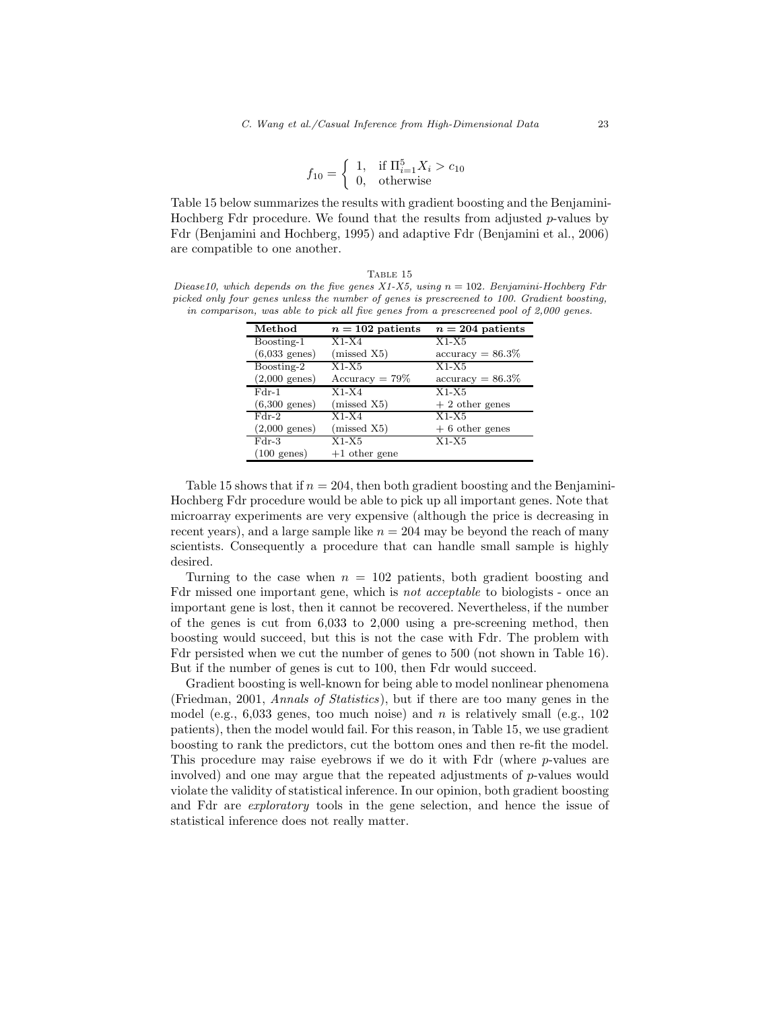$$
f_{10} = \begin{cases} 1, & \text{if } \Pi_{i=1}^{5} X_i > c_{10} \\ 0, & \text{otherwise} \end{cases}
$$

Table 15 below summarizes the results with gradient boosting and the Benjamini-Hochberg Fdr procedure. We found that the results from adjusted p-values by Fdr (Benjamini and Hochberg, 1995) and adaptive Fdr (Benjamini et al., 2006) are compatible to one another.

TABLE 15 Diease10, which depends on the five genes  $X1-X5$ , using  $n = 102$ . Benjamini-Hochberg Fdr picked only four genes unless the number of genes is prescreened to 100. Gradient boosting, in comparison, was able to pick all five genes from a prescreened pool of 2,000 genes.

| Method                  | $n = 102$ patients | $n = 204$ patients         |
|-------------------------|--------------------|----------------------------|
| Boosting-1              | $X1-X4$            | $X1-X5$                    |
| $(6,033 \text{ genes})$ | (missed X5)        | $\text{accuracy} = 86.3\%$ |
| Boosting-2              | $X1-X5$            | $X1-X5$                    |
| $(2,000 \text{ genes})$ | $Accuracy = 79\%$  | $accuracy = 86.3\%$        |
| $Fdr-1$                 | $X1-X4$            | $X1-X5$                    |
| $(6,300 \text{ genes})$ | (missed X5)        | $+2$ other genes           |
| $Fdr-2$                 | $X1-X4$            | $X1-X5$                    |
| $(2,000 \text{ genes})$ | (missed X5)        | $+6$ other genes           |
| $_{\rm Fdr-3}$          | $X1-X5$            | $X1-X5$                    |
| $(100 \text{ genes})$   | $+1$ other gene    |                            |

Table 15 shows that if  $n = 204$ , then both gradient boosting and the Benjamini-Hochberg Fdr procedure would be able to pick up all important genes. Note that microarray experiments are very expensive (although the price is decreasing in recent years), and a large sample like  $n = 204$  may be beyond the reach of many scientists. Consequently a procedure that can handle small sample is highly desired.

Turning to the case when  $n = 102$  patients, both gradient boosting and Fdr missed one important gene, which is *not acceptable* to biologists - once an important gene is lost, then it cannot be recovered. Nevertheless, if the number of the genes is cut from 6,033 to 2,000 using a pre-screening method, then boosting would succeed, but this is not the case with Fdr. The problem with Fdr persisted when we cut the number of genes to 500 (not shown in Table 16). But if the number of genes is cut to 100, then Fdr would succeed.

Gradient boosting is well-known for being able to model nonlinear phenomena (Friedman, 2001, *Annals of Statistics*), but if there are too many genes in the model (e.g.,  $6,033$  genes, too much noise) and n is relatively small (e.g.,  $102$ ) patients), then the model would fail. For this reason, in Table 15, we use gradient boosting to rank the predictors, cut the bottom ones and then re-fit the model. This procedure may raise eyebrows if we do it with  $Fdr$  (where p-values are involved) and one may argue that the repeated adjustments of  $p$ -values would violate the validity of statistical inference. In our opinion, both gradient boosting and Fdr are *exploratory* tools in the gene selection, and hence the issue of statistical inference does not really matter.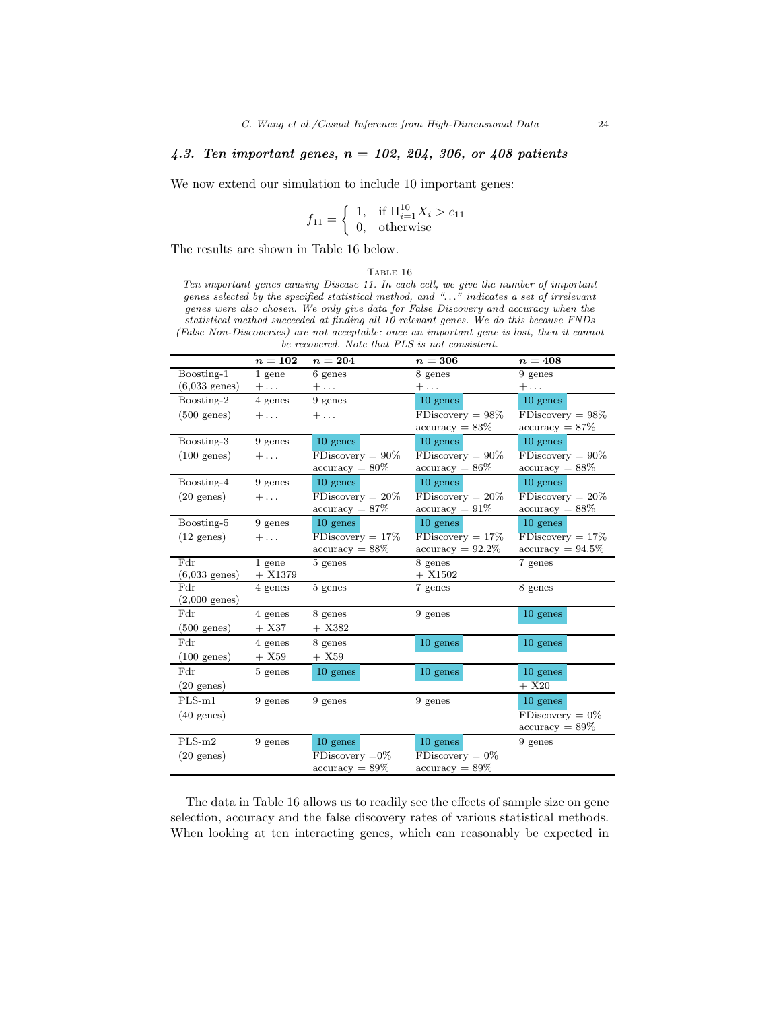# *4.3. Ten important genes,* n = *102, 204, 306, or 408 patients*

We now extend our simulation to include 10 important genes:

$$
f_{11} = \begin{cases} 1, & \text{if } \Pi_{i=1}^{10} X_i > c_{11} \\ 0, & \text{otherwise} \end{cases}
$$

The results are shown in Table 16 below.

#### TABLE  $16\,$

Ten important genes causing Disease 11. In each cell, we give the number of important genes selected by the specified statistical method, and ". . ." indicates a set of irrelevant genes were also chosen. We only give data for False Discovery and accuracy when the statistical method succeeded at finding all 10 relevant genes. We do this because FNDs (False Non-Discoveries) are not acceptable: once an important gene is lost, then it cannot be recovered. Note that PLS is not consistent.

|                         | $n=102$    | $n=204$             | $n=306$             | $n=408$             |
|-------------------------|------------|---------------------|---------------------|---------------------|
| Boosting-1              | $1$ gene   | 6 genes             | 8 genes             | 9 genes             |
| $(6,033 \text{ genes})$ | $+ \ldots$ | $+ \ldots$          | $+\ldots$           | $+\ldots$           |
| Boosting-2              | 4 genes    | 9 genes             | 10 genes            | $10$ genes          |
| $(500 \text{ genes})$   | $+ \ldots$ | $+ \ldots$          | $FDiscovery = 98%$  | $FDiscovery = 98%$  |
|                         |            |                     | $accuracy = 83\%$   | $accuracy = 87\%$   |
| Boosting-3              | 9 genes    | 10 genes            | $10$ genes          | $10$ genes          |
| $(100 \text{ genes})$   | $+ \ldots$ | $FDiscovery = 90\%$ | $FDiscovery = 90\%$ | $FDiscovery = 90\%$ |
|                         |            | $accuracy = 80\%$   | $accuracy = 86\%$   | $accuracy = 88\%$   |
| Boosting-4              | 9 genes    | $10$ genes          | $10$ genes          | $10$ genes          |
| $(20 \text{ genes})$    | $+ \ldots$ | $FDiscovery = 20\%$ | $FDiscovery = 20\%$ | $FDiscovery = 20\%$ |
|                         |            | $accuracy = 87\%$   | $accuracy = 91\%$   | $accuracy = 88\%$   |
| Boosting-5              | 9 genes    | $10$ genes          | $10$ genes          | $10$ genes          |
| $(12 \text{ genes})$    | $+ \ldots$ | $FDiscovery = 17%$  | $FDiscovery = 17%$  | $FDiscovery = 17%$  |
|                         |            | $accuracy = 88\%$   | $accuracy = 92.2\%$ | $accuracy = 94.5\%$ |
| Fdr                     | $1$ gene   | $5$ genes           | 8 genes             | 7 genes             |
| $(6,033 \text{ genes})$ | $+ X1379$  |                     | $+ X1502$           |                     |
| Fdr                     | 4 genes    | $5$ genes           | 7 genes             | $8$ genes           |
| $(2,000 \text{ genes})$ |            |                     |                     |                     |
| Fdr                     | 4 genes    | 8 genes             | 9 genes             | 10 genes            |
| $(500 \text{ genes})$   | $+ X37$    | $+ X382$            |                     |                     |
| Fdr                     | 4 genes    | 8 genes             | 10 genes            | 10 genes            |
| $(100 \text{ genes})$   | $+ X59$    | $+ X59$             |                     |                     |
| Fdr                     | 5 genes    | $10$ genes          | 10 genes            | 10 genes            |
| $(20 \text{ genes})$    |            |                     |                     | $+ X20$             |
| $PLS-m1$                | 9 genes    | 9 genes             | 9 genes             | 10 genes            |
| $(40 \text{ genes})$    |            |                     |                     | $FDiscovery = 0\%$  |
|                         |            |                     |                     | $accuracy = 89\%$   |
| $PLS-m2$                | 9 genes    | 10 genes            | 10 genes            | 9 genes             |
| $(20 \text{ genes})$    |            | $FDiscovery = 0\%$  | $FDiscovery = 0%$   |                     |
|                         |            | $accuracy = 89\%$   | $accuracy = 89\%$   |                     |

The data in Table 16 allows us to readily see the effects of sample size on gene selection, accuracy and the false discovery rates of various statistical methods. When looking at ten interacting genes, which can reasonably be expected in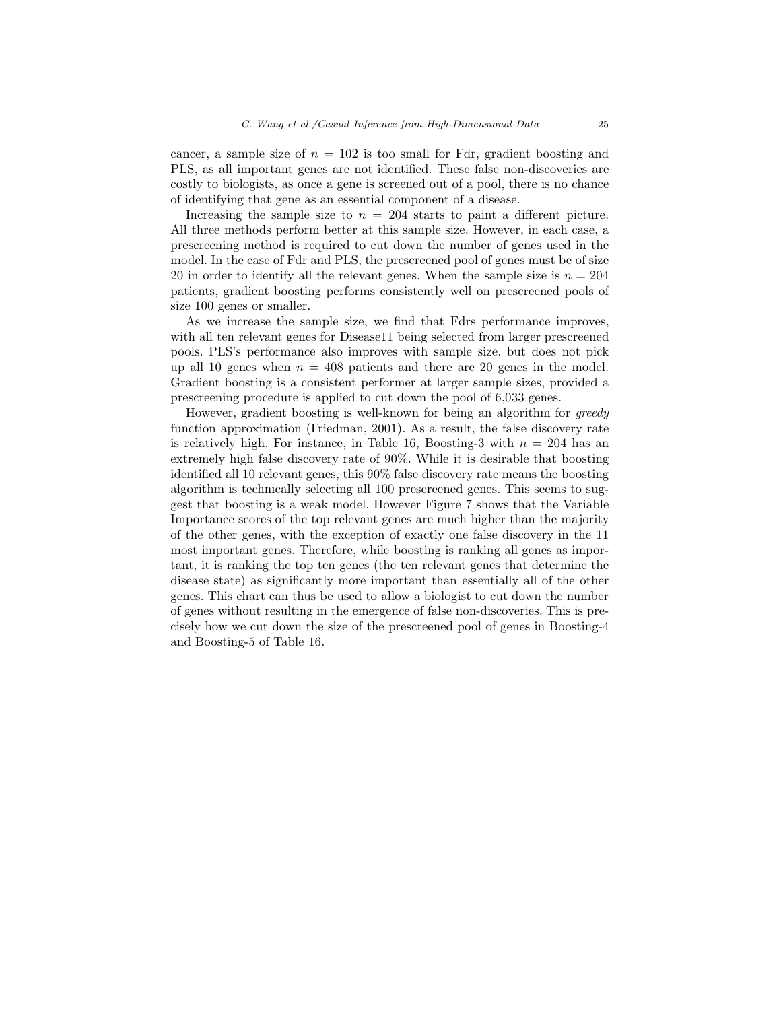cancer, a sample size of  $n = 102$  is too small for Fdr, gradient boosting and PLS, as all important genes are not identified. These false non-discoveries are costly to biologists, as once a gene is screened out of a pool, there is no chance of identifying that gene as an essential component of a disease.

Increasing the sample size to  $n = 204$  starts to paint a different picture. All three methods perform better at this sample size. However, in each case, a prescreening method is required to cut down the number of genes used in the model. In the case of Fdr and PLS, the prescreened pool of genes must be of size 20 in order to identify all the relevant genes. When the sample size is  $n = 204$ patients, gradient boosting performs consistently well on prescreened pools of size 100 genes or smaller.

As we increase the sample size, we find that Fdrs performance improves, with all ten relevant genes for Disease11 being selected from larger prescreened pools. PLS's performance also improves with sample size, but does not pick up all 10 genes when  $n = 408$  patients and there are 20 genes in the model. Gradient boosting is a consistent performer at larger sample sizes, provided a prescreening procedure is applied to cut down the pool of 6,033 genes.

However, gradient boosting is well-known for being an algorithm for *greedy* function approximation (Friedman, 2001). As a result, the false discovery rate is relatively high. For instance, in Table 16, Boosting-3 with  $n = 204$  has an extremely high false discovery rate of 90%. While it is desirable that boosting identified all 10 relevant genes, this 90% false discovery rate means the boosting algorithm is technically selecting all 100 prescreened genes. This seems to suggest that boosting is a weak model. However Figure 7 shows that the Variable Importance scores of the top relevant genes are much higher than the majority of the other genes, with the exception of exactly one false discovery in the 11 most important genes. Therefore, while boosting is ranking all genes as important, it is ranking the top ten genes (the ten relevant genes that determine the disease state) as significantly more important than essentially all of the other genes. This chart can thus be used to allow a biologist to cut down the number of genes without resulting in the emergence of false non-discoveries. This is precisely how we cut down the size of the prescreened pool of genes in Boosting-4 and Boosting-5 of Table 16.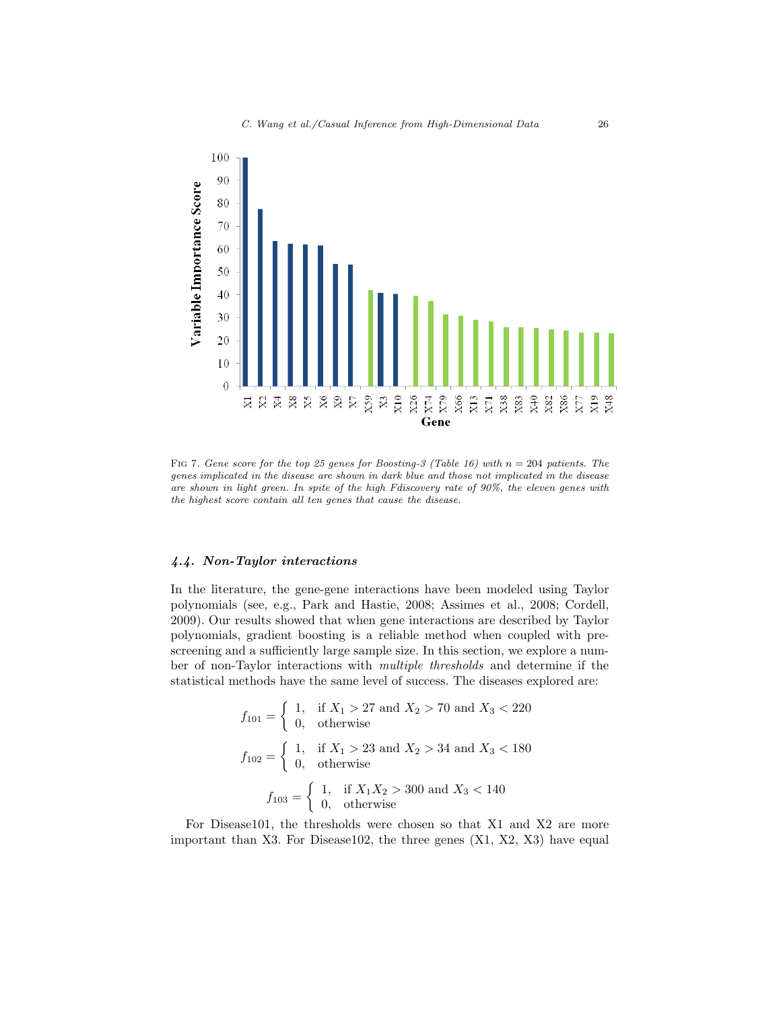

FIG 7. Gene score for the top 25 genes for Boosting-3 (Table 16) with  $n = 204$  patients. The genes implicated in the disease are shown in dark blue and those not implicated in the disease are shown in light green. In spite of the high Fdiscovery rate of 90%, the eleven genes with the highest score contain all ten genes that cause the disease.

## *4.4. Non-Taylor interactions*

In the literature, the gene-gene interactions have been modeled using Taylor polynomials (see, e.g., Park and Hastie, 2008; Assimes et al., 2008; Cordell, 2009). Our results showed that when gene interactions are described by Taylor polynomials, gradient boosting is a reliable method when coupled with prescreening and a sufficiently large sample size. In this section, we explore a number of non-Taylor interactions with *multiple thresholds* and determine if the statistical methods have the same level of success. The diseases explored are:

$$
f_{101} = \begin{cases} 1, & \text{if } X_1 > 27 \text{ and } X_2 > 70 \text{ and } X_3 < 220 \\ 0, & \text{otherwise} \end{cases}
$$
  

$$
f_{102} = \begin{cases} 1, & \text{if } X_1 > 23 \text{ and } X_2 > 34 \text{ and } X_3 < 180 \\ 0, & \text{otherwise} \end{cases}
$$
  

$$
f_{103} = \begin{cases} 1, & \text{if } X_1 X_2 > 300 \text{ and } X_3 < 140 \\ 0, & \text{otherwise} \end{cases}
$$

For Disease101, the thresholds were chosen so that X1 and X2 are more important than X3. For Disease102, the three genes (X1, X2, X3) have equal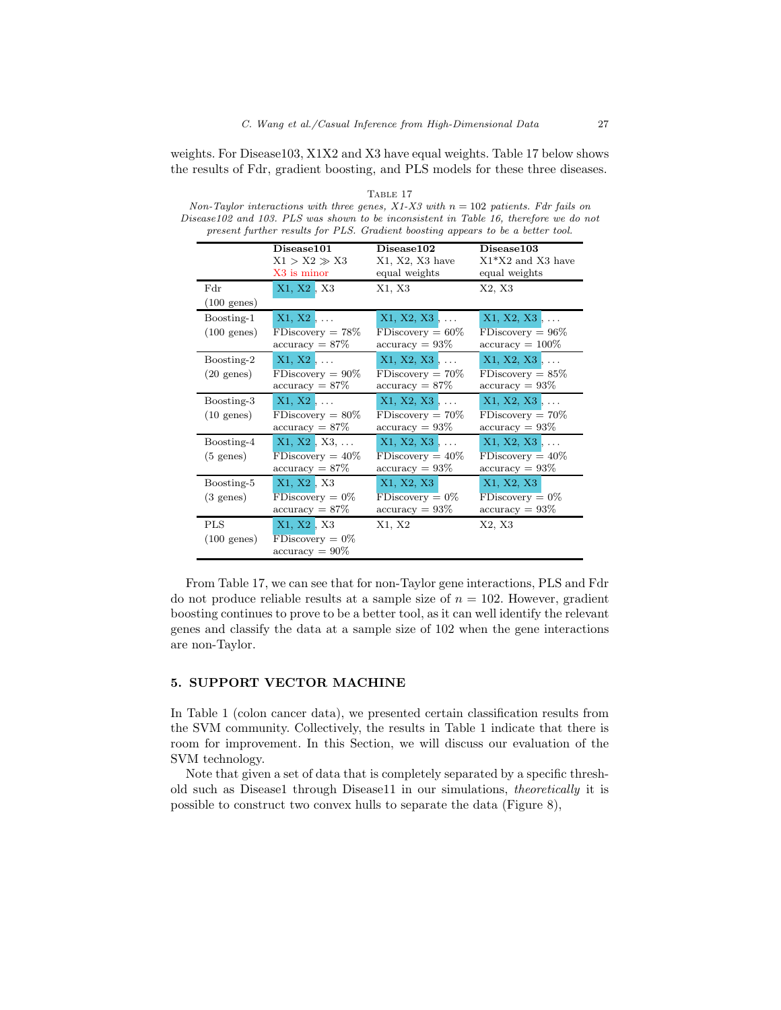weights. For Disease103, X1X2 and X3 have equal weights. Table 17 below shows the results of Fdr, gradient boosting, and PLS models for these three diseases.

|                                     | Disease101<br>$X1 > X2 \gg X3$<br>X3 is minor                    | Disease102<br>$X1, X2, X3$ have<br>equal weights                 | Disease103<br>$X1*X2$ and X3 have<br>equal weights                |
|-------------------------------------|------------------------------------------------------------------|------------------------------------------------------------------|-------------------------------------------------------------------|
| Fdr<br>$(100 \text{ genes})$        | X1, X2, X3                                                       | X1, X3                                                           | X2, X3                                                            |
| Boosting-1<br>$(100 \text{ genes})$ | $X1, X2, \ldots$<br>$FDiscovery = 78%$<br>$accuracy = 87\%$      | $X1, X2, X3, \ldots$<br>$FDiscovery = 60\%$<br>$accuracy = 93\%$ | $X1, X2, X3, \ldots$<br>$FDiscovery = 96\%$<br>$accuracy = 100\%$ |
| Boosting-2<br>$(20 \text{ genes})$  | $X1, X2, \ldots$<br>$FDiscovery = 90\%$<br>$accuracy = 87\%$     | $X1, X2, X3, \ldots$<br>$FDiscovery = 70\%$<br>$accuracy = 87\%$ | $X1, X2, X3, \ldots$<br>$FDiscovery = 85\%$<br>$accuracy = 93\%$  |
| Boosting-3<br>$(10 \text{ genes})$  | $X1, X2, \ldots$<br>$FDiscovery = 80\%$<br>$accuracy = 87\%$     | $X1, X2, X3, \ldots$<br>$FDiscovery = 70\%$<br>$accuracy = 93\%$ | $X1, X2, X3, \ldots$<br>$FDiscovery = 70\%$<br>$accuracy = 93\%$  |
| Boosting-4<br>$(5 \text{ genes})$   | $X1, X2, X3, \ldots$<br>$FDiscovery = 40\%$<br>$accuracy = 87\%$ | $X1, X2, X3, \ldots$<br>$FDiscovery = 40\%$<br>$accuracy = 93\%$ | $X1, X2, X3, \ldots$<br>$FDiscovery = 40\%$<br>$accuracy = 93\%$  |
| Boosting-5<br>$(3 \text{ genes})$   | X1, X2, X3<br>$FD iscovery = 0\%$<br>$accuracy = 87\%$           | X1, X2, X3<br>$FDiscovery = 0\%$<br>$accuracy = 93\%$            | X1, X2, X3<br>$FDiscovery = 0\%$<br>$accuracy = 93\%$             |
| <b>PLS</b><br>$(100 \text{ genes})$ | X1, X2, X3<br>$FDiscovery = 0\%$<br>$\text{accuracy} = 90\%$     | X1, X2                                                           | X2, X3                                                            |

TABLE 17 Non-Taylor interactions with three genes,  $X1-X3$  with  $n = 102$  patients. Fdr fails on Disease102 and 103. PLS was shown to be inconsistent in Table 16, therefore we do no Disease102 and 103. PLS was shown to be inconsistent in Table 16, therefore we do not

From Table 17, we can see that for non-Taylor gene interactions, PLS and Fdr do not produce reliable results at a sample size of  $n = 102$ . However, gradient boosting continues to prove to be a better tool, as it can well identify the relevant genes and classify the data at a sample size of 102 when the gene interactions are non-Taylor.

#### 5. SUPPORT VECTOR MACHINE

In Table 1 (colon cancer data), we presented certain classification results from the SVM community. Collectively, the results in Table 1 indicate that there is room for improvement. In this Section, we will discuss our evaluation of the SVM technology.

Note that given a set of data that is completely separated by a specific threshold such as Disease1 through Disease11 in our simulations, *theoretically* it is possible to construct two convex hulls to separate the data (Figure 8),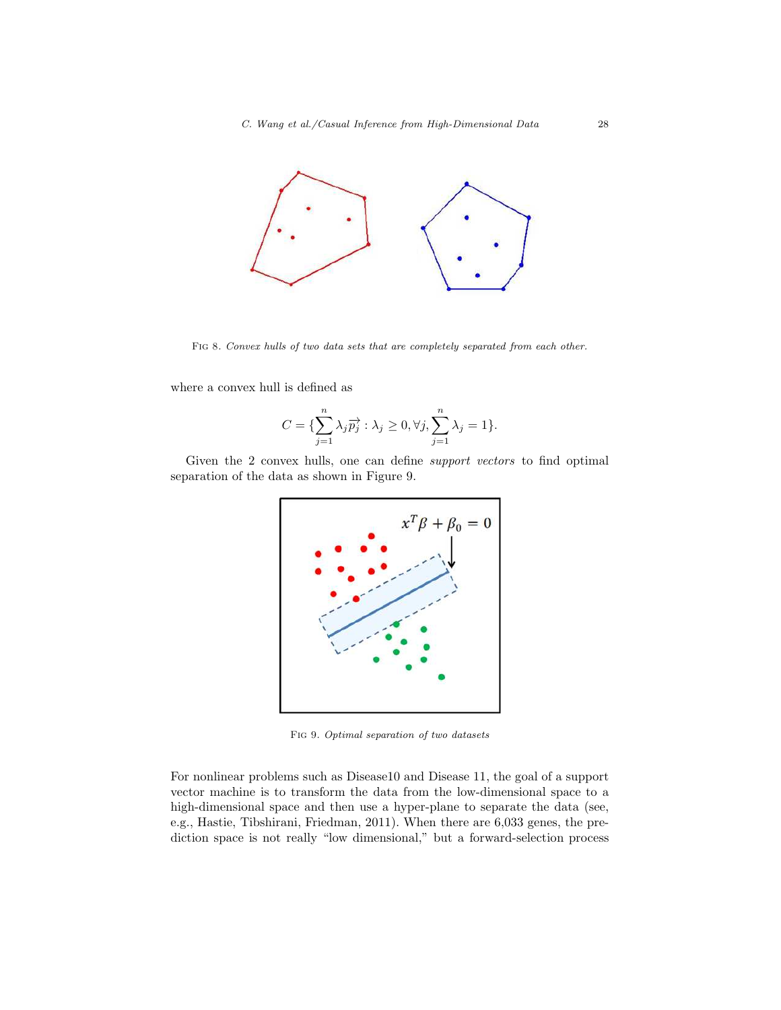

FIG 8. Convex hulls of two data sets that are completely separated from each other.

where a convex hull is defined as

$$
C = \{\sum_{j=1}^{n} \lambda_j \overrightarrow{p_j} : \lambda_j \ge 0, \forall j, \sum_{j=1}^{n} \lambda_j = 1\}.
$$

Given the 2 convex hulls, one can define *support vectors* to find optimal separation of the data as shown in Figure 9.



Fig 9. Optimal separation of two datasets

For nonlinear problems such as Disease10 and Disease 11, the goal of a support vector machine is to transform the data from the low-dimensional space to a high-dimensional space and then use a hyper-plane to separate the data (see, e.g., Hastie, Tibshirani, Friedman, 2011). When there are 6,033 genes, the prediction space is not really "low dimensional," but a forward-selection process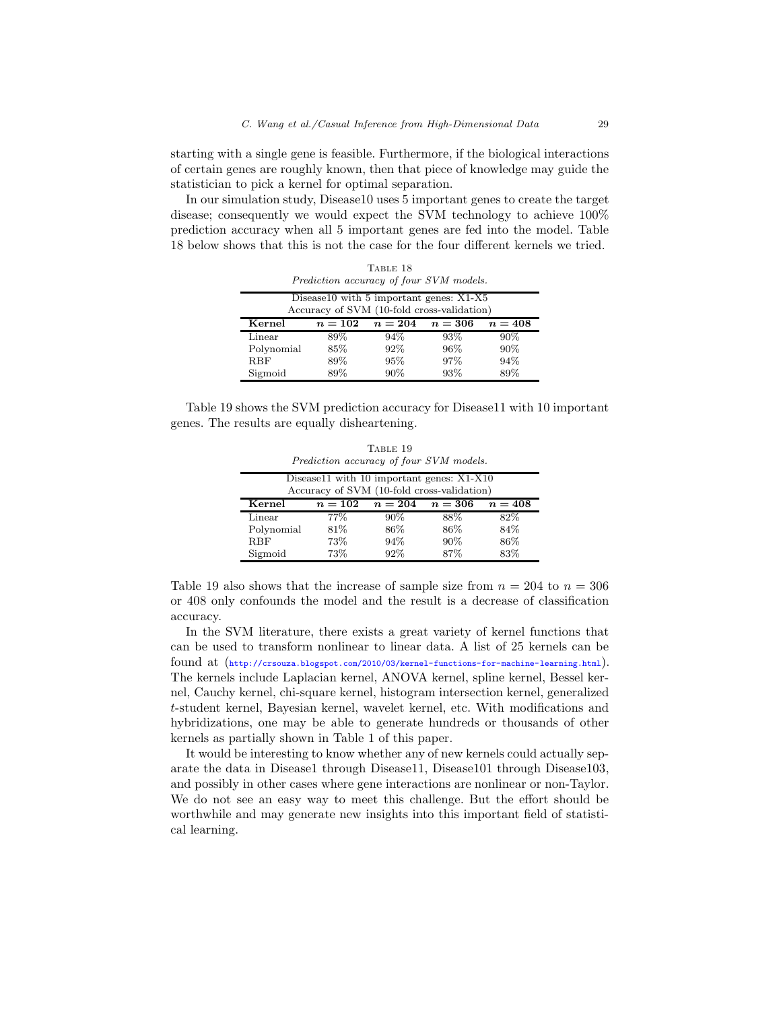starting with a single gene is feasible. Furthermore, if the biological interactions of certain genes are roughly known, then that piece of knowledge may guide the statistician to pick a kernel for optimal separation.

In our simulation study, Disease10 uses 5 important genes to create the target disease; consequently we would expect the SVM technology to achieve 100% prediction accuracy when all 5 important genes are fed into the model. Table 18 below shows that this is not the case for the four different kernels we tried.

| TABLE 18<br>Prediction accuracy of four SVM models.                                   |         |         |         |         |  |  |
|---------------------------------------------------------------------------------------|---------|---------|---------|---------|--|--|
| Disease10 with 5 important genes: X1-X5<br>Accuracy of SVM (10-fold cross-validation) |         |         |         |         |  |  |
| Kernel                                                                                | $n=102$ | $n=204$ | $n=306$ | $n=408$ |  |  |
| Linear                                                                                | 89%     | 94%     | 93%     | $90\%$  |  |  |
| Polynomial                                                                            | 85\%    | 92%     | 96%     | 90%     |  |  |
| <b>RBF</b>                                                                            | 89%     | 95%     | 97%     | 94%     |  |  |
| Sigmoid                                                                               | 89%     | 90%     | 93%     | 89%     |  |  |

Table 19 shows the SVM prediction accuracy for Disease11 with 10 important genes. The results are equally disheartening.

TABLE 19 Prediction accuracy of four SVM models.

| Disease11 with 10 important genes: X1-X10          |                                            |        |      |     |  |  |  |
|----------------------------------------------------|--------------------------------------------|--------|------|-----|--|--|--|
|                                                    | Accuracy of SVM (10-fold cross-validation) |        |      |     |  |  |  |
| Kernel<br>$n=102$<br>$n=204$<br>$n=306$<br>$n=408$ |                                            |        |      |     |  |  |  |
| Linear                                             | $77\%$                                     | $90\%$ | 88%  | 82% |  |  |  |
| Polynomial                                         | 81\%                                       | 86\%   | 86\% | 84% |  |  |  |
| <b>RBF</b>                                         | 73%                                        | 94%    | 90%  | 86% |  |  |  |
| Sigmoid                                            | 73%                                        | 92%    | 87%  | 83% |  |  |  |

Table 19 also shows that the increase of sample size from  $n = 204$  to  $n = 306$ or 408 only confounds the model and the result is a decrease of classification accuracy.

In the SVM literature, there exists a great variety of kernel functions that can be used to transform nonlinear to linear data. A list of 25 kernels can be found at (<http://crsouza.blogspot.com/2010/03/kernel-functions-for-machine-learning.html>). The kernels include Laplacian kernel, ANOVA kernel, spline kernel, Bessel kernel, Cauchy kernel, chi-square kernel, histogram intersection kernel, generalized t-student kernel, Bayesian kernel, wavelet kernel, etc. With modifications and hybridizations, one may be able to generate hundreds or thousands of other kernels as partially shown in Table 1 of this paper.

It would be interesting to know whether any of new kernels could actually separate the data in Disease1 through Disease11, Disease101 through Disease103, and possibly in other cases where gene interactions are nonlinear or non-Taylor. We do not see an easy way to meet this challenge. But the effort should be worthwhile and may generate new insights into this important field of statistical learning.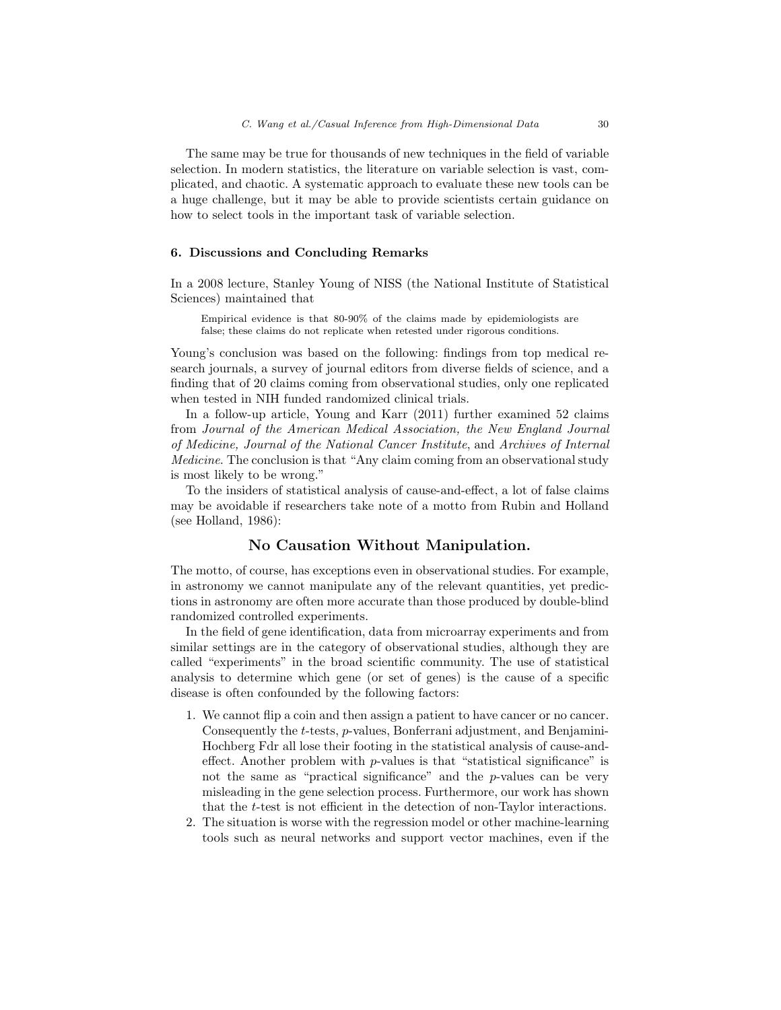The same may be true for thousands of new techniques in the field of variable selection. In modern statistics, the literature on variable selection is vast, complicated, and chaotic. A systematic approach to evaluate these new tools can be a huge challenge, but it may be able to provide scientists certain guidance on how to select tools in the important task of variable selection.

### 6. Discussions and Concluding Remarks

In a 2008 lecture, Stanley Young of NISS (the National Institute of Statistical Sciences) maintained that

Empirical evidence is that 80-90% of the claims made by epidemiologists are false; these claims do not replicate when retested under rigorous conditions.

Young's conclusion was based on the following: findings from top medical research journals, a survey of journal editors from diverse fields of science, and a finding that of 20 claims coming from observational studies, only one replicated when tested in NIH funded randomized clinical trials.

In a follow-up article, Young and Karr (2011) further examined 52 claims from *Journal of the American Medical Association, the New England Journal of Medicine, Journal of the National Cancer Institute*, and *Archives of Internal Medicine*. The conclusion is that "Any claim coming from an observational study is most likely to be wrong."

To the insiders of statistical analysis of cause-and-effect, a lot of false claims may be avoidable if researchers take note of a motto from Rubin and Holland (see Holland, 1986):

# No Causation Without Manipulation.

The motto, of course, has exceptions even in observational studies. For example, in astronomy we cannot manipulate any of the relevant quantities, yet predictions in astronomy are often more accurate than those produced by double-blind randomized controlled experiments.

In the field of gene identification, data from microarray experiments and from similar settings are in the category of observational studies, although they are called "experiments" in the broad scientific community. The use of statistical analysis to determine which gene (or set of genes) is the cause of a specific disease is often confounded by the following factors:

- 1. We cannot flip a coin and then assign a patient to have cancer or no cancer. Consequently the t-tests, p-values, Bonferrani adjustment, and Benjamini-Hochberg Fdr all lose their footing in the statistical analysis of cause-andeffect. Another problem with  $p$ -values is that "statistical significance" is not the same as "practical significance" and the p-values can be very misleading in the gene selection process. Furthermore, our work has shown that the t-test is not efficient in the detection of non-Taylor interactions.
- 2. The situation is worse with the regression model or other machine-learning tools such as neural networks and support vector machines, even if the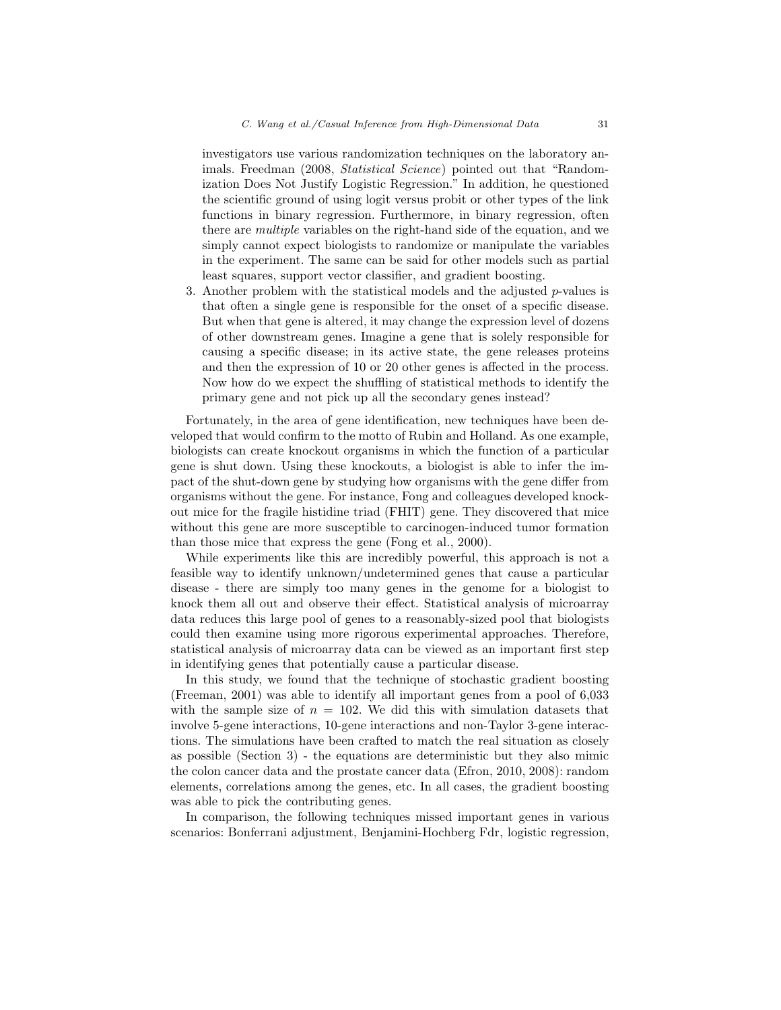investigators use various randomization techniques on the laboratory animals. Freedman (2008, *Statistical Science*) pointed out that "Randomization Does Not Justify Logistic Regression." In addition, he questioned the scientific ground of using logit versus probit or other types of the link functions in binary regression. Furthermore, in binary regression, often there are *multiple* variables on the right-hand side of the equation, and we simply cannot expect biologists to randomize or manipulate the variables in the experiment. The same can be said for other models such as partial least squares, support vector classifier, and gradient boosting.

3. Another problem with the statistical models and the adjusted  $p$ -values is that often a single gene is responsible for the onset of a specific disease. But when that gene is altered, it may change the expression level of dozens of other downstream genes. Imagine a gene that is solely responsible for causing a specific disease; in its active state, the gene releases proteins and then the expression of 10 or 20 other genes is affected in the process. Now how do we expect the shuffling of statistical methods to identify the primary gene and not pick up all the secondary genes instead?

Fortunately, in the area of gene identification, new techniques have been developed that would confirm to the motto of Rubin and Holland. As one example, biologists can create knockout organisms in which the function of a particular gene is shut down. Using these knockouts, a biologist is able to infer the impact of the shut-down gene by studying how organisms with the gene differ from organisms without the gene. For instance, Fong and colleagues developed knockout mice for the fragile histidine triad (FHIT) gene. They discovered that mice without this gene are more susceptible to carcinogen-induced tumor formation than those mice that express the gene (Fong et al., 2000).

While experiments like this are incredibly powerful, this approach is not a feasible way to identify unknown/undetermined genes that cause a particular disease - there are simply too many genes in the genome for a biologist to knock them all out and observe their effect. Statistical analysis of microarray data reduces this large pool of genes to a reasonably-sized pool that biologists could then examine using more rigorous experimental approaches. Therefore, statistical analysis of microarray data can be viewed as an important first step in identifying genes that potentially cause a particular disease.

In this study, we found that the technique of stochastic gradient boosting (Freeman, 2001) was able to identify all important genes from a pool of 6,033 with the sample size of  $n = 102$ . We did this with simulation datasets that involve 5-gene interactions, 10-gene interactions and non-Taylor 3-gene interactions. The simulations have been crafted to match the real situation as closely as possible (Section 3) - the equations are deterministic but they also mimic the colon cancer data and the prostate cancer data (Efron, 2010, 2008): random elements, correlations among the genes, etc. In all cases, the gradient boosting was able to pick the contributing genes.

In comparison, the following techniques missed important genes in various scenarios: Bonferrani adjustment, Benjamini-Hochberg Fdr, logistic regression,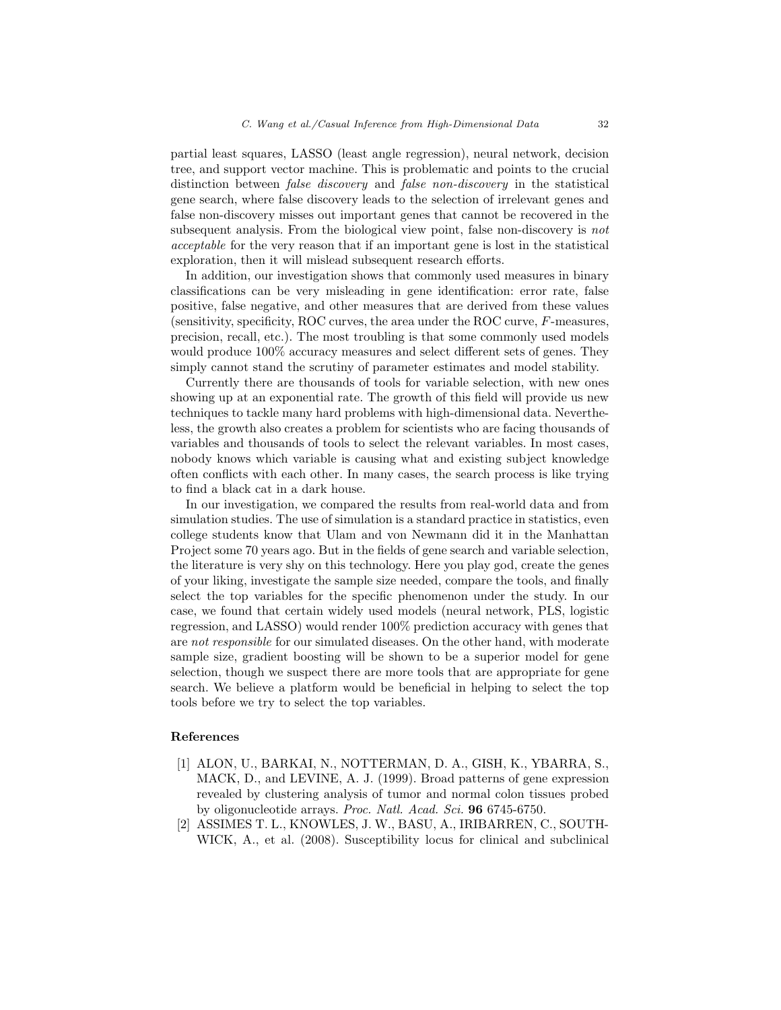partial least squares, LASSO (least angle regression), neural network, decision tree, and support vector machine. This is problematic and points to the crucial distinction between *false discovery* and *false non-discovery* in the statistical gene search, where false discovery leads to the selection of irrelevant genes and false non-discovery misses out important genes that cannot be recovered in the subsequent analysis. From the biological view point, false non-discovery is *not acceptable* for the very reason that if an important gene is lost in the statistical exploration, then it will mislead subsequent research efforts.

In addition, our investigation shows that commonly used measures in binary classifications can be very misleading in gene identification: error rate, false positive, false negative, and other measures that are derived from these values (sensitivity, specificity, ROC curves, the area under the ROC curve, F-measures, precision, recall, etc.). The most troubling is that some commonly used models would produce 100% accuracy measures and select different sets of genes. They simply cannot stand the scrutiny of parameter estimates and model stability.

Currently there are thousands of tools for variable selection, with new ones showing up at an exponential rate. The growth of this field will provide us new techniques to tackle many hard problems with high-dimensional data. Nevertheless, the growth also creates a problem for scientists who are facing thousands of variables and thousands of tools to select the relevant variables. In most cases, nobody knows which variable is causing what and existing subject knowledge often conflicts with each other. In many cases, the search process is like trying to find a black cat in a dark house.

In our investigation, we compared the results from real-world data and from simulation studies. The use of simulation is a standard practice in statistics, even college students know that Ulam and von Newmann did it in the Manhattan Project some 70 years ago. But in the fields of gene search and variable selection, the literature is very shy on this technology. Here you play god, create the genes of your liking, investigate the sample size needed, compare the tools, and finally select the top variables for the specific phenomenon under the study. In our case, we found that certain widely used models (neural network, PLS, logistic regression, and LASSO) would render 100% prediction accuracy with genes that are *not responsible* for our simulated diseases. On the other hand, with moderate sample size, gradient boosting will be shown to be a superior model for gene selection, though we suspect there are more tools that are appropriate for gene search. We believe a platform would be beneficial in helping to select the top tools before we try to select the top variables.

## References

- [1] ALON, U., BARKAI, N., NOTTERMAN, D. A., GISH, K., YBARRA, S., MACK, D., and LEVINE, A. J. (1999). Broad patterns of gene expression revealed by clustering analysis of tumor and normal colon tissues probed by oligonucleotide arrays. *Proc. Natl. Acad. Sci.* 96 6745-6750.
- [2] ASSIMES T. L., KNOWLES, J. W., BASU, A., IRIBARREN, C., SOUTH-WICK, A., et al. (2008). Susceptibility locus for clinical and subclinical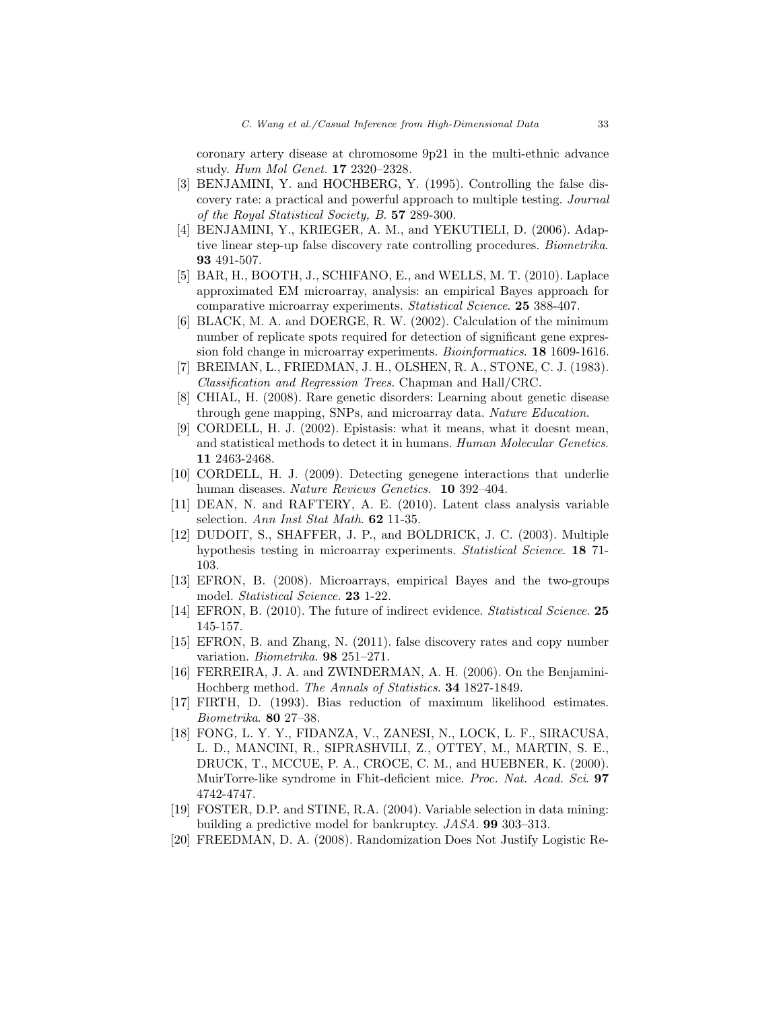coronary artery disease at chromosome 9p21 in the multi-ethnic advance study. *Hum Mol Genet.* 17 2320–2328.

- [3] BENJAMINI, Y. and HOCHBERG, Y. (1995). Controlling the false discovery rate: a practical and powerful approach to multiple testing. *Journal of the Royal Statistical Society, B*. 57 289-300.
- [4] BENJAMINI, Y., KRIEGER, A. M., and YEKUTIELI, D. (2006). Adaptive linear step-up false discovery rate controlling procedures. *Biometrika*. 93 491-507.
- [5] BAR, H., BOOTH, J., SCHIFANO, E., and WELLS, M. T. (2010). Laplace approximated EM microarray, analysis: an empirical Bayes approach for comparative microarray experiments. *Statistical Science*. 25 388-407.
- [6] BLACK, M. A. and DOERGE, R. W. (2002). Calculation of the minimum number of replicate spots required for detection of significant gene expression fold change in microarray experiments. *Bioinformatics*. 18 1609-1616.
- [7] BREIMAN, L., FRIEDMAN, J. H., OLSHEN, R. A., STONE, C. J. (1983). *Classification and Regression Trees*. Chapman and Hall/CRC.
- [8] CHIAL, H. (2008). Rare genetic disorders: Learning about genetic disease through gene mapping, SNPs, and microarray data. *Nature Education*.
- [9] CORDELL, H. J. (2002). Epistasis: what it means, what it doesnt mean, and statistical methods to detect it in humans. *Human Molecular Genetics*. 11 2463-2468.
- [10] CORDELL, H. J. (2009). Detecting genegene interactions that underlie human diseases. *Nature Reviews Genetics*. 10 392–404.
- [11] DEAN, N. and RAFTERY, A. E. (2010). Latent class analysis variable selection. *Ann Inst Stat Math*. 62 11-35.
- [12] DUDOIT, S., SHAFFER, J. P., and BOLDRICK, J. C. (2003). Multiple hypothesis testing in microarray experiments. *Statistical Science*. 18 71- 103.
- [13] EFRON, B. (2008). Microarrays, empirical Bayes and the two-groups model. *Statistical Science*. 23 1-22.
- [14] EFRON, B. (2010). The future of indirect evidence. *Statistical Science*. 25 145-157.
- [15] EFRON, B. and Zhang, N. (2011). false discovery rates and copy number variation. *Biometrika*. 98 251–271.
- [16] FERREIRA, J. A. and ZWINDERMAN, A. H. (2006). On the Benjamini-Hochberg method. *The Annals of Statistics*. 34 1827-1849.
- [17] FIRTH, D. (1993). Bias reduction of maximum likelihood estimates. *Biometrika*. 80 27–38.
- [18] FONG, L. Y. Y., FIDANZA, V., ZANESI, N., LOCK, L. F., SIRACUSA, L. D., MANCINI, R., SIPRASHVILI, Z., OTTEY, M., MARTIN, S. E., DRUCK, T., MCCUE, P. A., CROCE, C. M., and HUEBNER, K. (2000). MuirTorre-like syndrome in Fhit-deficient mice. *Proc. Nat. Acad. Sci*. 97 4742-4747.
- [19] FOSTER, D.P. and STINE, R.A. (2004). Variable selection in data mining: building a predictive model for bankruptcy. *JASA*. 99 303–313.
- [20] FREEDMAN, D. A. (2008). Randomization Does Not Justify Logistic Re-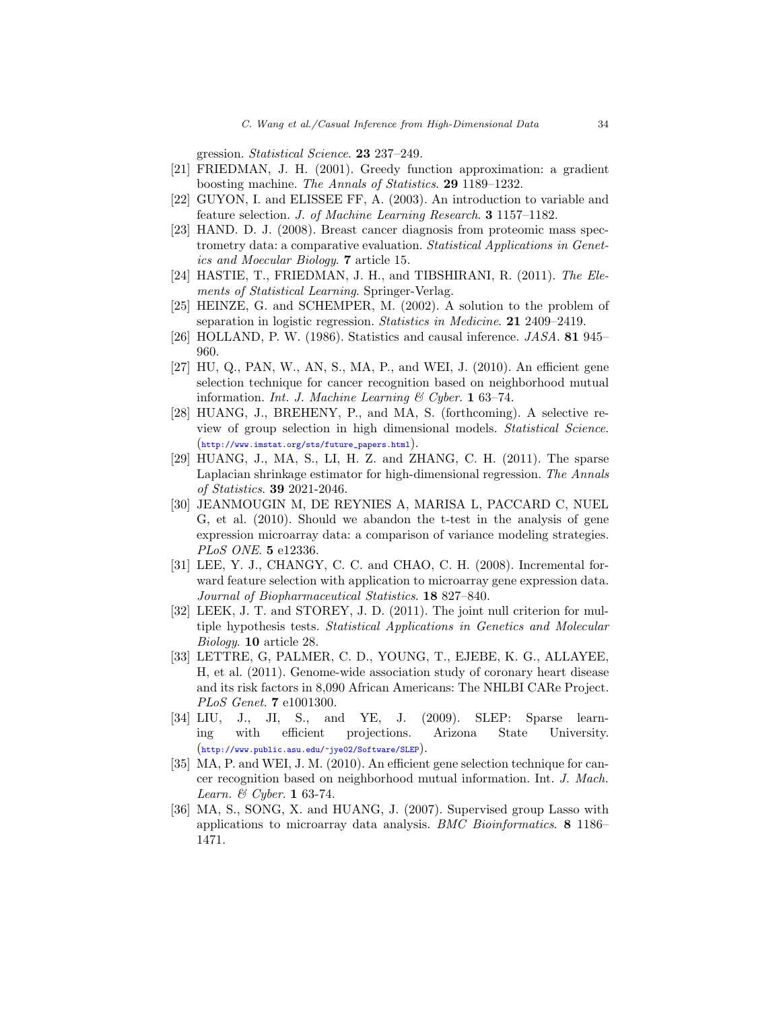gression. *Statistical Science*. 23 237–249.

- [21] FRIEDMAN, J. H. (2001). Greedy function approximation: a gradient boosting machine. *The Annals of Statistics*. 29 1189–1232.
- [22] GUYON, I. and ELISSEE FF, A. (2003). An introduction to variable and feature selection. *J. of Machine Learning Research*. 3 1157–1182.
- [23] HAND. D. J. (2008). Breast cancer diagnosis from proteomic mass spectrometry data: a comparative evaluation. *Statistical Applications in Genetics and Moecular Biology*. 7 article 15.
- [24] HASTIE, T., FRIEDMAN, J. H., and TIBSHIRANI, R. (2011). *The Elements of Statistical Learning*. Springer-Verlag.
- [25] HEINZE, G. and SCHEMPER, M. (2002). A solution to the problem of separation in logistic regression. *Statistics in Medicine*. 21 2409–2419.
- [26] HOLLAND, P. W. (1986). Statistics and causal inference. *JASA*. 81 945– 960.
- [27] HU, Q., PAN, W., AN, S., MA, P., and WEI, J. (2010). An efficient gene selection technique for cancer recognition based on neighborhood mutual information. *Int. J. Machine Learning & Cyber*. 1 63–74.
- [28] HUANG, J., BREHENY, P., and MA, S. (forthcoming). A selective review of group selection in high dimensional models. *Statistical Science*. ([http://www.imstat.org/sts/future\\_papers.html](http://www.imstat.org/sts/future_papers.html)).
- [29] HUANG, J., MA, S., LI, H. Z. and ZHANG, C. H. (2011). The sparse Laplacian shrinkage estimator for high-dimensional regression. *The Annals of Statistics*. 39 2021-2046.
- [30] JEANMOUGIN M, DE REYNIES A, MARISA L, PACCARD C, NUEL G, et al. (2010). Should we abandon the t-test in the analysis of gene expression microarray data: a comparison of variance modeling strategies. *PLoS ONE*. 5 e12336.
- [31] LEE, Y. J., CHANGY, C. C. and CHAO, C. H. (2008). Incremental forward feature selection with application to microarray gene expression data. *Journal of Biopharmaceutical Statistics*. 18 827–840.
- [32] LEEK, J. T. and STOREY, J. D. (2011). The joint null criterion for multiple hypothesis tests. *Statistical Applications in Genetics and Molecular Biology*. 10 article 28.
- [33] LETTRE, G, PALMER, C. D., YOUNG, T., EJEBE, K. G., ALLAYEE, H, et al. (2011). Genome-wide association study of coronary heart disease and its risk factors in 8,090 African Americans: The NHLBI CARe Project. *PLoS Genet*. 7 e1001300.
- [34] LIU, J., JI, S., and YE, J. (2009). SLEP: Sparse learning with efficient projections. Arizona State University. (<http://www.public.asu.edu/~jye02/Software/SLEP>).
- [35] MA, P. and WEI, J. M. (2010). An efficient gene selection technique for cancer recognition based on neighborhood mutual information. Int. *J. Mach. Learn. & Cyber*. 1 63-74.
- [36] MA, S., SONG, X. and HUANG, J. (2007). Supervised group Lasso with applications to microarray data analysis. *BMC Bioinformatics*. 8 1186– 1471.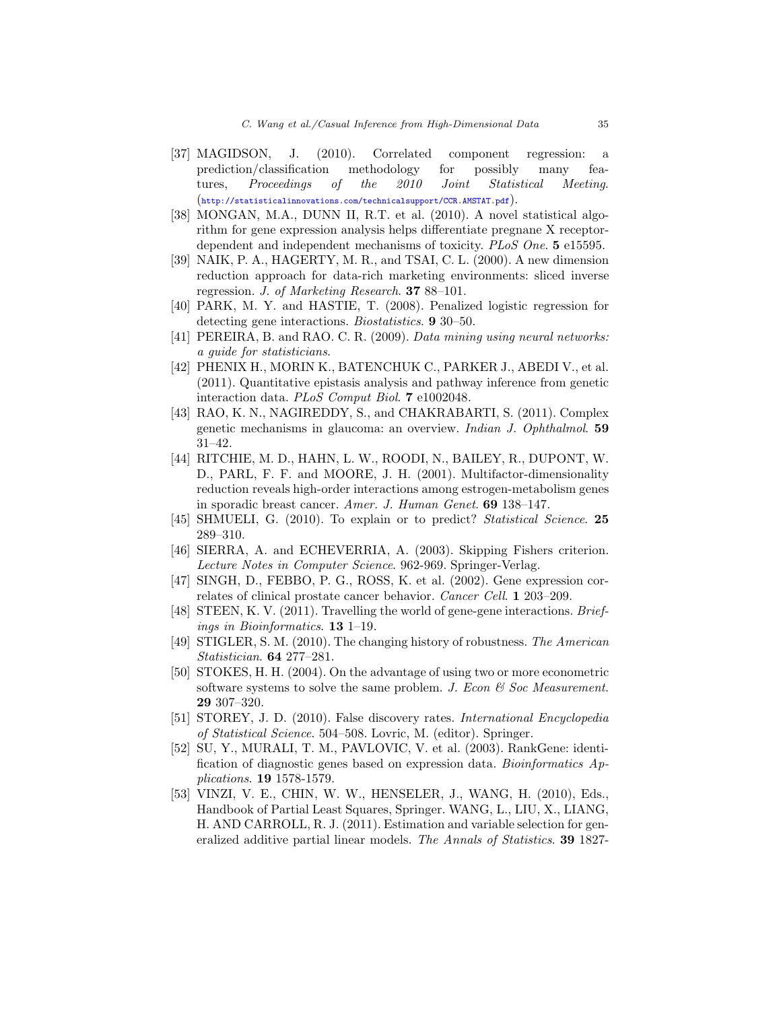- [37] MAGIDSON, J. (2010). Correlated component regression: a prediction/classification methodology for possibly many features, *Proceedings of the 2010 Joint Statistical Meeting*. (<http://statisticalinnovations.com/technicalsupport/CCR.AMSTAT.pdf>).
- [38] MONGAN, M.A., DUNN II, R.T. et al. (2010). A novel statistical algorithm for gene expression analysis helps differentiate pregnane X receptordependent and independent mechanisms of toxicity. *PLoS One*. 5 e15595.
- [39] NAIK, P. A., HAGERTY, M. R., and TSAI, C. L. (2000). A new dimension reduction approach for data-rich marketing environments: sliced inverse regression. *J. of Marketing Research*. 37 88–101.
- [40] PARK, M. Y. and HASTIE, T. (2008). Penalized logistic regression for detecting gene interactions. *Biostatistics*. 9 30–50.
- [41] PEREIRA, B. and RAO. C. R. (2009). *Data mining using neural networks: a guide for statisticians*.
- [42] PHENIX H., MORIN K., BATENCHUK C., PARKER J., ABEDI V., et al. (2011). Quantitative epistasis analysis and pathway inference from genetic interaction data. *PLoS Comput Biol*. 7 e1002048.
- [43] RAO, K. N., NAGIREDDY, S., and CHAKRABARTI, S. (2011). Complex genetic mechanisms in glaucoma: an overview. *Indian J. Ophthalmol*. 59 31–42.
- [44] RITCHIE, M. D., HAHN, L. W., ROODI, N., BAILEY, R., DUPONT, W. D., PARL, F. F. and MOORE, J. H. (2001). Multifactor-dimensionality reduction reveals high-order interactions among estrogen-metabolism genes in sporadic breast cancer. *Amer. J. Human Genet*. 69 138–147.
- [45] SHMUELI, G. (2010). To explain or to predict? *Statistical Science*. 25 289–310.
- [46] SIERRA, A. and ECHEVERRIA, A. (2003). Skipping Fishers criterion. *Lecture Notes in Computer Science*. 962-969. Springer-Verlag.
- [47] SINGH, D., FEBBO, P. G., ROSS, K. et al. (2002). Gene expression correlates of clinical prostate cancer behavior. *Cancer Cell*. 1 203–209.
- [48] STEEN, K. V. (2011). Travelling the world of gene-gene interactions. *Briefings in Bioinformatics*. 13 1–19.
- [49] STIGLER, S. M. (2010). The changing history of robustness. *The American Statistician*. 64 277–281.
- [50] STOKES, H. H. (2004). On the advantage of using two or more econometric software systems to solve the same problem. *J. Econ & Soc Measurement*. 29 307–320.
- [51] STOREY, J. D. (2010). False discovery rates. *International Encyclopedia of Statistical Science*. 504–508. Lovric, M. (editor). Springer.
- [52] SU, Y., MURALI, T. M., PAVLOVIC, V. et al. (2003). RankGene: identification of diagnostic genes based on expression data. *Bioinformatics Applications*. 19 1578-1579.
- [53] VINZI, V. E., CHIN, W. W., HENSELER, J., WANG, H. (2010), Eds., Handbook of Partial Least Squares, Springer. WANG, L., LIU, X., LIANG, H. AND CARROLL, R. J. (2011). Estimation and variable selection for generalized additive partial linear models. *The Annals of Statistics*. 39 1827-